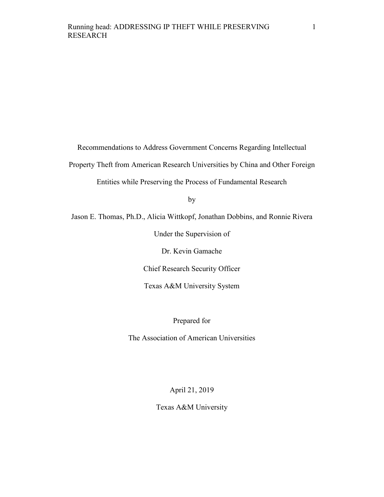Recommendations to Address Government Concerns Regarding Intellectual

Property Theft from American Research Universities by China and Other Foreign

Entities while Preserving the Process of Fundamental Research

by

Jason E. Thomas, Ph.D., Alicia Wittkopf, Jonathan Dobbins, and Ronnie Rivera

Under the Supervision of

Dr. Kevin Gamache

Chief Research Security Officer

Texas A&M University System

Prepared for

The Association of American Universities

April 21, 2019

Texas A&M University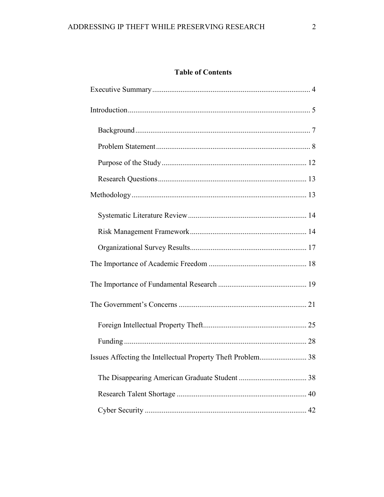# **Table of Contents**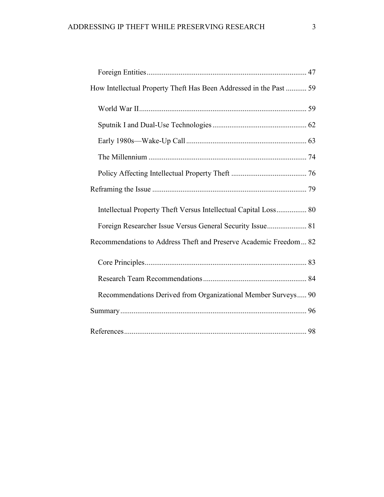| How Intellectual Property Theft Has Been Addressed in the Past  59 |  |
|--------------------------------------------------------------------|--|
|                                                                    |  |
|                                                                    |  |
|                                                                    |  |
|                                                                    |  |
|                                                                    |  |
|                                                                    |  |
| Intellectual Property Theft Versus Intellectual Capital Loss 80    |  |
| Foreign Researcher Issue Versus General Security Issue 81          |  |
| Recommendations to Address Theft and Preserve Academic Freedom 82  |  |
|                                                                    |  |
|                                                                    |  |
| Recommendations Derived from Organizational Member Surveys 90      |  |
|                                                                    |  |
|                                                                    |  |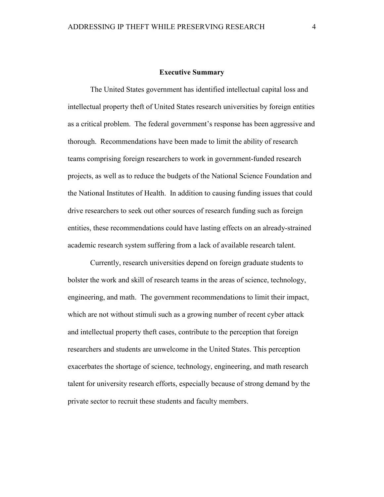#### **Executive Summary**

<span id="page-3-0"></span>The United States government has identified intellectual capital loss and intellectual property theft of United States research universities by foreign entities as a critical problem. The federal government's response has been aggressive and thorough. Recommendations have been made to limit the ability of research teams comprising foreign researchers to work in government-funded research projects, as well as to reduce the budgets of the National Science Foundation and the National Institutes of Health. In addition to causing funding issues that could drive researchers to seek out other sources of research funding such as foreign entities, these recommendations could have lasting effects on an already-strained academic research system suffering from a lack of available research talent.

Currently, research universities depend on foreign graduate students to bolster the work and skill of research teams in the areas of science, technology, engineering, and math. The government recommendations to limit their impact, which are not without stimuli such as a growing number of recent cyber attack and intellectual property theft cases, contribute to the perception that foreign researchers and students are unwelcome in the United States. This perception exacerbates the shortage of science, technology, engineering, and math research talent for university research efforts, especially because of strong demand by the private sector to recruit these students and faculty members.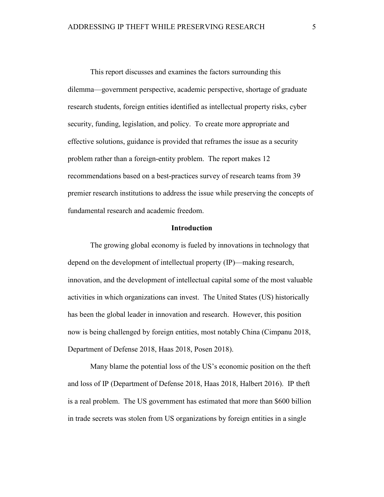This report discusses and examines the factors surrounding this dilemma—government perspective, academic perspective, shortage of graduate research students, foreign entities identified as intellectual property risks, cyber security, funding, legislation, and policy. To create more appropriate and effective solutions, guidance is provided that reframes the issue as a security problem rather than a foreign-entity problem. The report makes 12 recommendations based on a best-practices survey of research teams from 39 premier research institutions to address the issue while preserving the concepts of fundamental research and academic freedom.

## **Introduction**

<span id="page-4-0"></span>The growing global economy is fueled by innovations in technology that depend on the development of intellectual property (IP)—making research, innovation, and the development of intellectual capital some of the most valuable activities in which organizations can invest. The United States (US) historically has been the global leader in innovation and research. However, this position now is being challenged by foreign entities, most notably China (Cimpanu 2018, Department of Defense 2018, Haas 2018, Posen 2018).

Many blame the potential loss of the US's economic position on the theft and loss of IP (Department of Defense 2018, Haas 2018, Halbert 2016). IP theft is a real problem. The US government has estimated that more than \$600 billion in trade secrets was stolen from US organizations by foreign entities in a single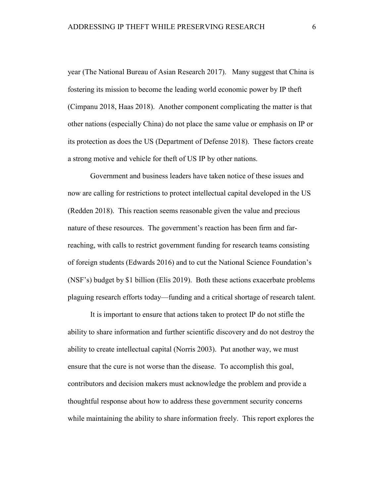year (The National Bureau of Asian Research 2017). Many suggest that China is fostering its mission to become the leading world economic power by IP theft (Cimpanu 2018, Haas 2018). Another component complicating the matter is that other nations (especially China) do not place the same value or emphasis on IP or its protection as does the US (Department of Defense 2018). These factors create a strong motive and vehicle for theft of US IP by other nations.

Government and business leaders have taken notice of these issues and now are calling for restrictions to protect intellectual capital developed in the US (Redden 2018). This reaction seems reasonable given the value and precious nature of these resources. The government's reaction has been firm and farreaching, with calls to restrict government funding for research teams consisting of foreign students (Edwards 2016) and to cut the National Science Foundation's (NSF's) budget by \$1 billion (Elis 2019). Both these actions exacerbate problems plaguing research efforts today—funding and a critical shortage of research talent.

It is important to ensure that actions taken to protect IP do not stifle the ability to share information and further scientific discovery and do not destroy the ability to create intellectual capital (Norris 2003). Put another way, we must ensure that the cure is not worse than the disease. To accomplish this goal, contributors and decision makers must acknowledge the problem and provide a thoughtful response about how to address these government security concerns while maintaining the ability to share information freely. This report explores the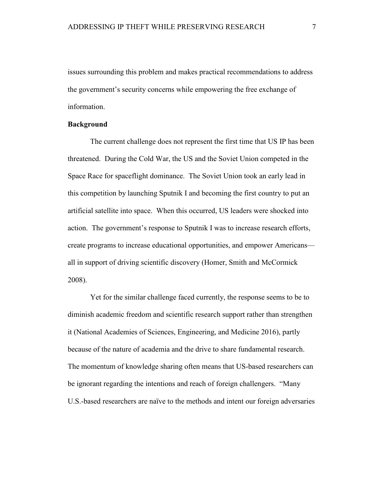issues surrounding this problem and makes practical recommendations to address the government's security concerns while empowering the free exchange of information.

## <span id="page-6-0"></span>**Background**

The current challenge does not represent the first time that US IP has been threatened. During the Cold War, the US and the Soviet Union competed in the Space Race for spaceflight dominance. The Soviet Union took an early lead in this competition by launching Sputnik I and becoming the first country to put an artificial satellite into space. When this occurred, US leaders were shocked into action. The government's response to Sputnik I was to increase research efforts, create programs to increase educational opportunities, and empower Americans all in support of driving scientific discovery (Homer, Smith and McCormick 2008).

Yet for the similar challenge faced currently, the response seems to be to diminish academic freedom and scientific research support rather than strengthen it (National Academies of Sciences, Engineering, and Medicine 2016), partly because of the nature of academia and the drive to share fundamental research. The momentum of knowledge sharing often means that US-based researchers can be ignorant regarding the intentions and reach of foreign challengers. "Many U.S.-based researchers are naïve to the methods and intent our foreign adversaries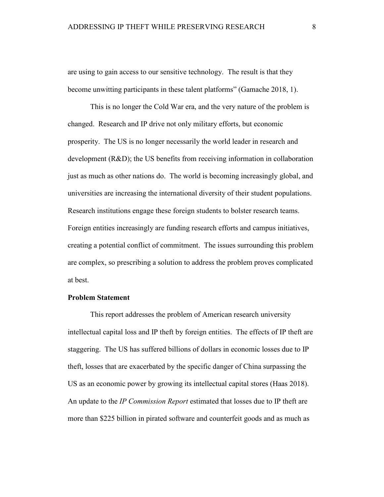are using to gain access to our sensitive technology. The result is that they become unwitting participants in these talent platforms" (Gamache 2018, 1).

This is no longer the Cold War era, and the very nature of the problem is changed. Research and IP drive not only military efforts, but economic prosperity. The US is no longer necessarily the world leader in research and development (R&D); the US benefits from receiving information in collaboration just as much as other nations do. The world is becoming increasingly global, and universities are increasing the international diversity of their student populations. Research institutions engage these foreign students to bolster research teams. Foreign entities increasingly are funding research efforts and campus initiatives, creating a potential conflict of commitment. The issues surrounding this problem are complex, so prescribing a solution to address the problem proves complicated at best.

### <span id="page-7-0"></span>**Problem Statement**

This report addresses the problem of American research university intellectual capital loss and IP theft by foreign entities. The effects of IP theft are staggering. The US has suffered billions of dollars in economic losses due to IP theft, losses that are exacerbated by the specific danger of China surpassing the US as an economic power by growing its intellectual capital stores (Haas 2018). An update to the *IP Commission Report* estimated that losses due to IP theft are more than \$225 billion in pirated software and counterfeit goods and as much as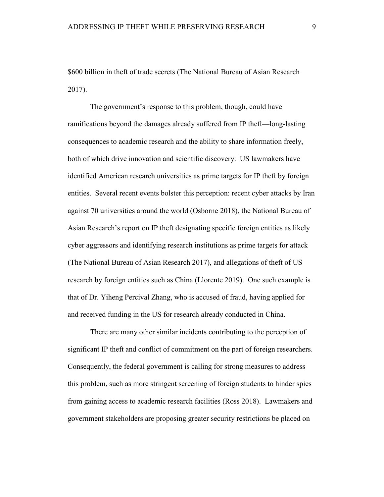\$600 billion in theft of trade secrets (The National Bureau of Asian Research 2017).

The government's response to this problem, though, could have ramifications beyond the damages already suffered from IP theft—long-lasting consequences to academic research and the ability to share information freely, both of which drive innovation and scientific discovery. US lawmakers have identified American research universities as prime targets for IP theft by foreign entities. Several recent events bolster this perception: recent cyber attacks by Iran against 70 universities around the world (Osborne 2018), the National Bureau of Asian Research's report on IP theft designating specific foreign entities as likely cyber aggressors and identifying research institutions as prime targets for attack (The National Bureau of Asian Research 2017), and allegations of theft of US research by foreign entities such as China (Llorente 2019). One such example is that of Dr. Yiheng Percival Zhang, who is accused of fraud, having applied for and received funding in the US for research already conducted in China.

There are many other similar incidents contributing to the perception of significant IP theft and conflict of commitment on the part of foreign researchers. Consequently, the federal government is calling for strong measures to address this problem, such as more stringent screening of foreign students to hinder spies from gaining access to academic research facilities (Ross 2018). Lawmakers and government stakeholders are proposing greater security restrictions be placed on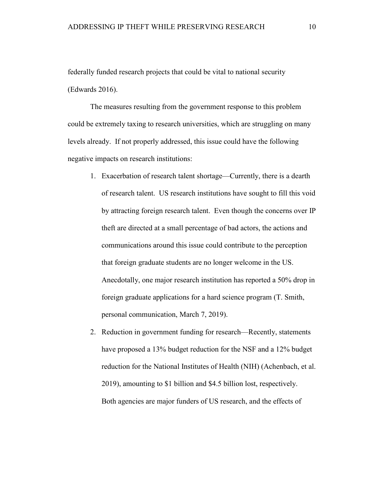federally funded research projects that could be vital to national security (Edwards 2016).

The measures resulting from the government response to this problem could be extremely taxing to research universities, which are struggling on many levels already. If not properly addressed, this issue could have the following negative impacts on research institutions:

- 1. Exacerbation of research talent shortage—Currently, there is a dearth of research talent. US research institutions have sought to fill this void by attracting foreign research talent. Even though the concerns over IP theft are directed at a small percentage of bad actors, the actions and communications around this issue could contribute to the perception that foreign graduate students are no longer welcome in the US. Anecdotally, one major research institution has reported a 50% drop in foreign graduate applications for a hard science program (T. Smith, personal communication, March 7, 2019).
- 2. Reduction in government funding for research—Recently, statements have proposed a 13% budget reduction for the NSF and a 12% budget reduction for the National Institutes of Health (NIH) (Achenbach, et al. 2019), amounting to \$1 billion and \$4.5 billion lost, respectively. Both agencies are major funders of US research, and the effects of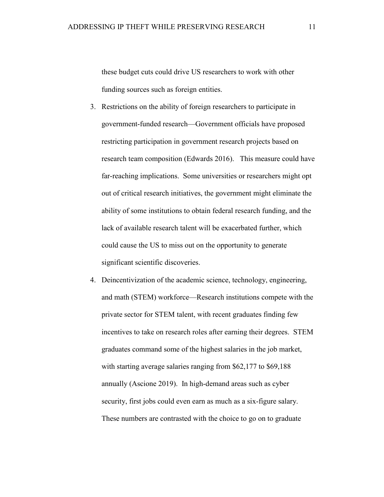these budget cuts could drive US researchers to work with other funding sources such as foreign entities.

- 3. Restrictions on the ability of foreign researchers to participate in government-funded research—Government officials have proposed restricting participation in government research projects based on research team composition (Edwards 2016). This measure could have far-reaching implications. Some universities or researchers might opt out of critical research initiatives, the government might eliminate the ability of some institutions to obtain federal research funding, and the lack of available research talent will be exacerbated further, which could cause the US to miss out on the opportunity to generate significant scientific discoveries.
- 4. Deincentivization of the academic science, technology, engineering, and math (STEM) workforce—Research institutions compete with the private sector for STEM talent, with recent graduates finding few incentives to take on research roles after earning their degrees. STEM graduates command some of the highest salaries in the job market, with starting average salaries ranging from \$62,177 to \$69,188 annually (Ascione 2019). In high-demand areas such as cyber security, first jobs could even earn as much as a six-figure salary. These numbers are contrasted with the choice to go on to graduate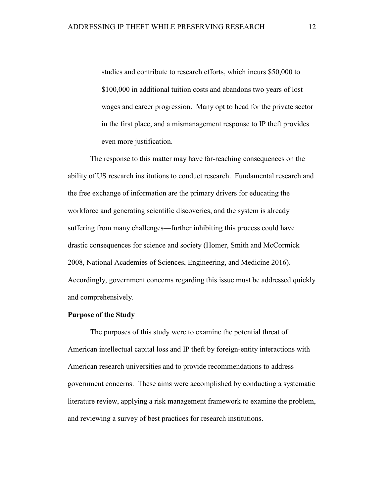studies and contribute to research efforts, which incurs \$50,000 to \$100,000 in additional tuition costs and abandons two years of lost wages and career progression. Many opt to head for the private sector in the first place, and a mismanagement response to IP theft provides even more justification.

The response to this matter may have far-reaching consequences on the ability of US research institutions to conduct research. Fundamental research and the free exchange of information are the primary drivers for educating the workforce and generating scientific discoveries, and the system is already suffering from many challenges—further inhibiting this process could have drastic consequences for science and society (Homer, Smith and McCormick 2008, National Academies of Sciences, Engineering, and Medicine 2016). Accordingly, government concerns regarding this issue must be addressed quickly and comprehensively.

#### <span id="page-11-0"></span>**Purpose of the Study**

The purposes of this study were to examine the potential threat of American intellectual capital loss and IP theft by foreign-entity interactions with American research universities and to provide recommendations to address government concerns. These aims were accomplished by conducting a systematic literature review, applying a risk management framework to examine the problem, and reviewing a survey of best practices for research institutions.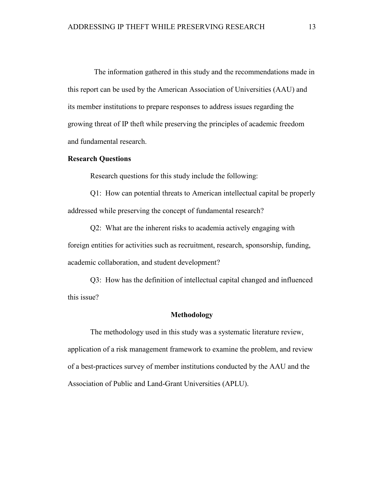The information gathered in this study and the recommendations made in this report can be used by the American Association of Universities (AAU) and its member institutions to prepare responses to address issues regarding the growing threat of IP theft while preserving the principles of academic freedom and fundamental research.

### <span id="page-12-0"></span>**Research Questions**

Research questions for this study include the following:

Q1: How can potential threats to American intellectual capital be properly addressed while preserving the concept of fundamental research?

Q2: What are the inherent risks to academia actively engaging with foreign entities for activities such as recruitment, research, sponsorship, funding, academic collaboration, and student development?

Q3: How has the definition of intellectual capital changed and influenced this issue?

#### **Methodology**

<span id="page-12-1"></span>The methodology used in this study was a systematic literature review, application of a risk management framework to examine the problem, and review of a best-practices survey of member institutions conducted by the AAU and the Association of Public and Land-Grant Universities (APLU).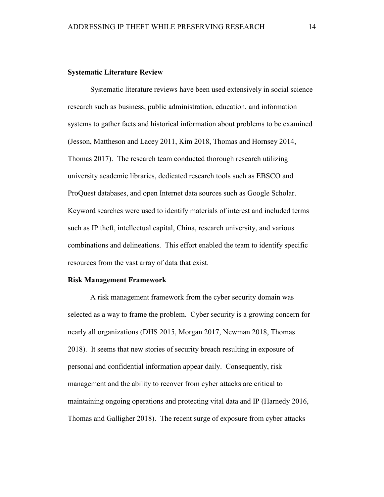### <span id="page-13-0"></span>**Systematic Literature Review**

Systematic literature reviews have been used extensively in social science research such as business, public administration, education, and information systems to gather facts and historical information about problems to be examined (Jesson, Mattheson and Lacey 2011, Kim 2018, Thomas and Hornsey 2014, Thomas 2017). The research team conducted thorough research utilizing university academic libraries, dedicated research tools such as EBSCO and ProQuest databases, and open Internet data sources such as Google Scholar. Keyword searches were used to identify materials of interest and included terms such as IP theft, intellectual capital, China, research university, and various combinations and delineations. This effort enabled the team to identify specific resources from the vast array of data that exist.

#### <span id="page-13-1"></span>**Risk Management Framework**

A risk management framework from the cyber security domain was selected as a way to frame the problem. Cyber security is a growing concern for nearly all organizations (DHS 2015, Morgan 2017, Newman 2018, Thomas 2018). It seems that new stories of security breach resulting in exposure of personal and confidential information appear daily. Consequently, risk management and the ability to recover from cyber attacks are critical to maintaining ongoing operations and protecting vital data and IP (Harnedy 2016, Thomas and Galligher 2018). The recent surge of exposure from cyber attacks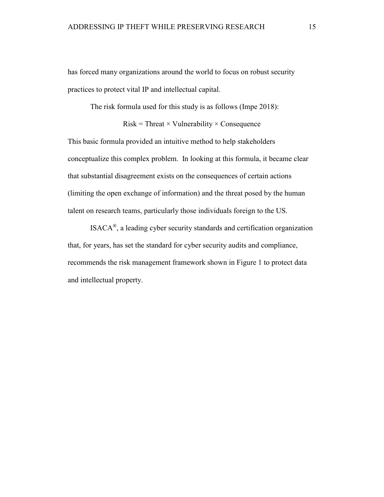has forced many organizations around the world to focus on robust security practices to protect vital IP and intellectual capital.

The risk formula used for this study is as follows (Impe 2018):

 $Risk = Thread \times Valnerability \times Consequence$ 

This basic formula provided an intuitive method to help stakeholders conceptualize this complex problem. In looking at this formula, it became clear that substantial disagreement exists on the consequences of certain actions (limiting the open exchange of information) and the threat posed by the human talent on research teams, particularly those individuals foreign to the US.

ISACA®, a leading cyber security standards and certification organization that, for years, has set the standard for cyber security audits and compliance, recommends the risk management framework shown in Figure 1 to protect data and intellectual property.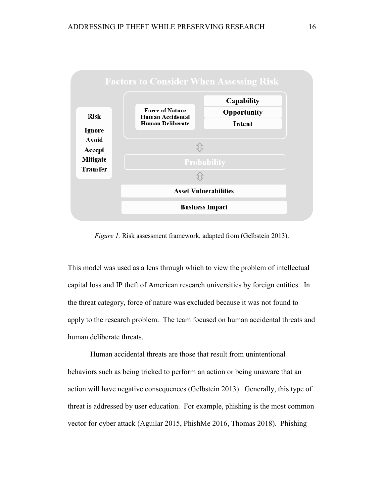

*Figure 1.* Risk assessment framework, adapted from (Gelbstein 2013).

This model was used as a lens through which to view the problem of intellectual capital loss and IP theft of American research universities by foreign entities. In the threat category, force of nature was excluded because it was not found to apply to the research problem. The team focused on human accidental threats and human deliberate threats.

Human accidental threats are those that result from unintentional behaviors such as being tricked to perform an action or being unaware that an action will have negative consequences (Gelbstein 2013). Generally, this type of threat is addressed by user education. For example, phishing is the most common vector for cyber attack (Aguilar 2015, PhishMe 2016, Thomas 2018). Phishing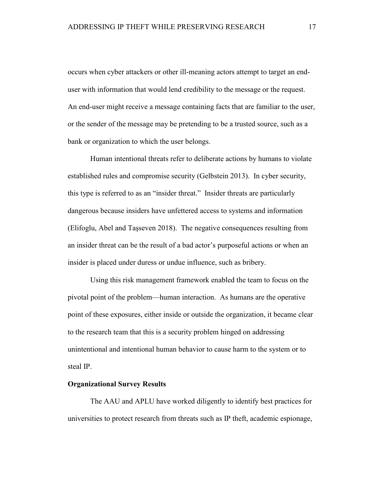occurs when cyber attackers or other ill-meaning actors attempt to target an enduser with information that would lend credibility to the message or the request. An end-user might receive a message containing facts that are familiar to the user, or the sender of the message may be pretending to be a trusted source, such as a bank or organization to which the user belongs.

Human intentional threats refer to deliberate actions by humans to violate established rules and compromise security (Gelbstein 2013). In cyber security, this type is referred to as an "insider threat." Insider threats are particularly dangerous because insiders have unfettered access to systems and information (Elifoglu, Abel and Taşseven 2018). The negative consequences resulting from an insider threat can be the result of a bad actor's purposeful actions or when an insider is placed under duress or undue influence, such as bribery.

Using this risk management framework enabled the team to focus on the pivotal point of the problem—human interaction. As humans are the operative point of these exposures, either inside or outside the organization, it became clear to the research team that this is a security problem hinged on addressing unintentional and intentional human behavior to cause harm to the system or to steal IP.

#### <span id="page-16-0"></span>**Organizational Survey Results**

The AAU and APLU have worked diligently to identify best practices for universities to protect research from threats such as IP theft, academic espionage,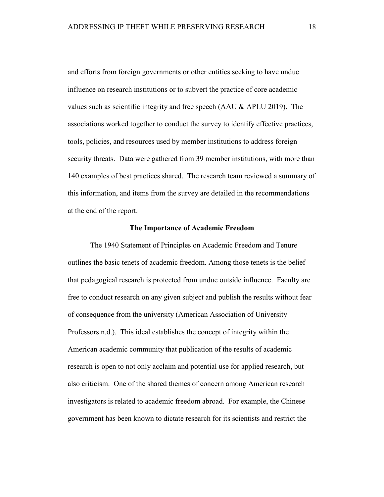and efforts from foreign governments or other entities seeking to have undue influence on research institutions or to subvert the practice of core academic values such as scientific integrity and free speech (AAU & APLU 2019). The associations worked together to conduct the survey to identify effective practices, tools, policies, and resources used by member institutions to address foreign security threats. Data were gathered from 39 member institutions, with more than 140 examples of best practices shared. The research team reviewed a summary of this information, and items from the survey are detailed in the recommendations at the end of the report.

## **The Importance of Academic Freedom**

<span id="page-17-0"></span>The 1940 Statement of Principles on Academic Freedom and Tenure outlines the basic tenets of academic freedom. Among those tenets is the belief that pedagogical research is protected from undue outside influence. Faculty are free to conduct research on any given subject and publish the results without fear of consequence from the university (American Association of University Professors n.d.). This ideal establishes the concept of integrity within the American academic community that publication of the results of academic research is open to not only acclaim and potential use for applied research, but also criticism. One of the shared themes of concern among American research investigators is related to academic freedom abroad. For example, the Chinese government has been known to dictate research for its scientists and restrict the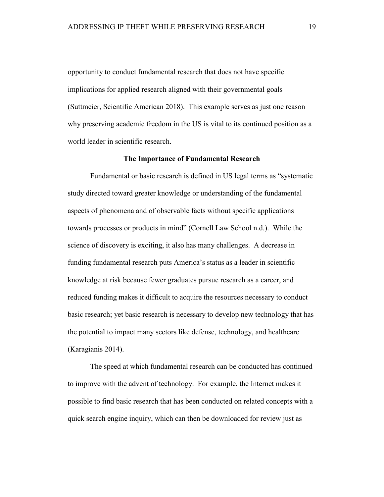opportunity to conduct fundamental research that does not have specific implications for applied research aligned with their governmental goals (Suttmeier, Scientific American 2018). This example serves as just one reason why preserving academic freedom in the US is vital to its continued position as a world leader in scientific research.

#### **The Importance of Fundamental Research**

<span id="page-18-0"></span>Fundamental or basic research is defined in US legal terms as "systematic study directed toward greater knowledge or understanding of the fundamental aspects of phenomena and of observable facts without specific applications towards processes or products in mind" (Cornell Law School n.d.). While the science of discovery is exciting, it also has many challenges. A decrease in funding fundamental research puts America's status as a leader in scientific knowledge at risk because fewer graduates pursue research as a career, and reduced funding makes it difficult to acquire the resources necessary to conduct basic research; yet basic research is necessary to develop new technology that has the potential to impact many sectors like defense, technology, and healthcare (Karagianis 2014).

The speed at which fundamental research can be conducted has continued to improve with the advent of technology. For example, the Internet makes it possible to find basic research that has been conducted on related concepts with a quick search engine inquiry, which can then be downloaded for review just as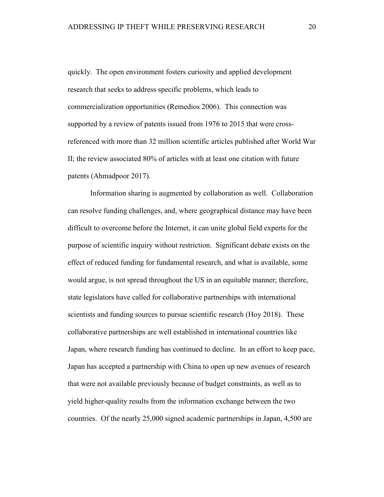quickly. The open environment fosters curiosity and applied development research that seeks to address specific problems, which leads to commercialization opportunities (Remedios 2006). This connection was supported by a review of patents issued from 1976 to 2015 that were crossreferenced with more than 32 million scientific articles published after World War II; the review associated 80% of articles with at least one citation with future patents (Ahmadpoor 2017).

Information sharing is augmented by collaboration as well. Collaboration can resolve funding challenges, and, where geographical distance may have been difficult to overcome before the Internet, it can unite global field experts for the purpose of scientific inquiry without restriction. Significant debate exists on the effect of reduced funding for fundamental research, and what is available, some would argue, is not spread throughout the US in an equitable manner; therefore, state legislators have called for collaborative partnerships with international scientists and funding sources to pursue scientific research (Hoy 2018). These collaborative partnerships are well established in international countries like Japan, where research funding has continued to decline. In an effort to keep pace, Japan has accepted a partnership with China to open up new avenues of research that were not available previously because of budget constraints, as well as to yield higher-quality results from the information exchange between the two countries. Of the nearly 25,000 signed academic partnerships in Japan, 4,500 are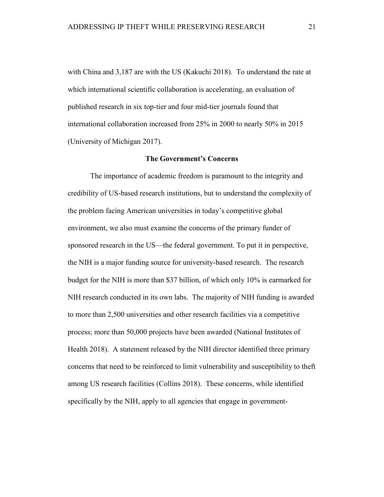with China and 3,187 are with the US (Kakuchi 2018). To understand the rate at which international scientific collaboration is accelerating, an evaluation of published research in six top-tier and four mid-tier journals found that international collaboration increased from 25% in 2000 to nearly 50% in 2015 (University of Michigan 2017).

#### **The Government's Concerns**

<span id="page-20-0"></span>The importance of academic freedom is paramount to the integrity and credibility of US-based research institutions, but to understand the complexity of the problem facing American universities in today's competitive global environment, we also must examine the concerns of the primary funder of sponsored research in the US—the federal government. To put it in perspective, the NIH is a major funding source for university-based research. The research budget for the NIH is more than \$37 billion, of which only 10% is earmarked for NIH research conducted in its own labs. The majority of NIH funding is awarded to more than 2,500 universities and other research facilities via a competitive process; more than 50,000 projects have been awarded (National Institutes of Health 2018). A statement released by the NIH director identified three primary concerns that need to be reinforced to limit vulnerability and susceptibility to theft among US research facilities (Collins 2018). These concerns, while identified specifically by the NIH, apply to all agencies that engage in government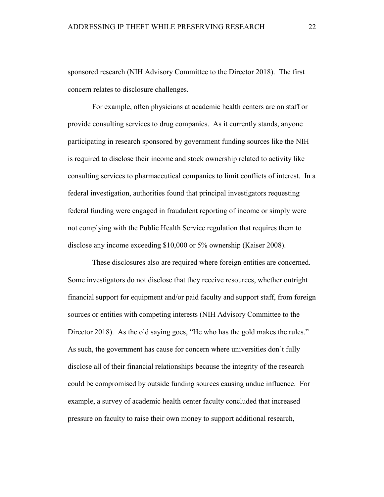sponsored research (NIH Advisory Committee to the Director 2018). The first concern relates to disclosure challenges.

For example, often physicians at academic health centers are on staff or provide consulting services to drug companies. As it currently stands, anyone participating in research sponsored by government funding sources like the NIH is required to disclose their income and stock ownership related to activity like consulting services to pharmaceutical companies to limit conflicts of interest. In a federal investigation, authorities found that principal investigators requesting federal funding were engaged in fraudulent reporting of income or simply were not complying with the Public Health Service regulation that requires them to disclose any income exceeding \$10,000 or 5% ownership (Kaiser 2008).

These disclosures also are required where foreign entities are concerned. Some investigators do not disclose that they receive resources, whether outright financial support for equipment and/or paid faculty and support staff, from foreign sources or entities with competing interests (NIH Advisory Committee to the Director 2018). As the old saying goes, "He who has the gold makes the rules." As such, the government has cause for concern where universities don't fully disclose all of their financial relationships because the integrity of the research could be compromised by outside funding sources causing undue influence. For example, a survey of academic health center faculty concluded that increased pressure on faculty to raise their own money to support additional research,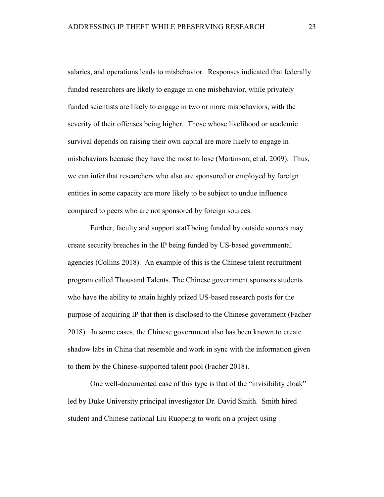salaries, and operations leads to misbehavior. Responses indicated that federally funded researchers are likely to engage in one misbehavior, while privately funded scientists are likely to engage in two or more misbehaviors, with the severity of their offenses being higher. Those whose livelihood or academic survival depends on raising their own capital are more likely to engage in misbehaviors because they have the most to lose (Martinson, et al. 2009). Thus, we can infer that researchers who also are sponsored or employed by foreign entities in some capacity are more likely to be subject to undue influence compared to peers who are not sponsored by foreign sources.

Further, faculty and support staff being funded by outside sources may create security breaches in the IP being funded by US-based governmental agencies (Collins 2018). An example of this is the Chinese talent recruitment program called Thousand Talents. The Chinese government sponsors students who have the ability to attain highly prized US-based research posts for the purpose of acquiring IP that then is disclosed to the Chinese government (Facher 2018). In some cases, the Chinese government also has been known to create shadow labs in China that resemble and work in sync with the information given to them by the Chinese-supported talent pool (Facher 2018).

One well-documented case of this type is that of the "invisibility cloak" led by Duke University principal investigator Dr. David Smith. Smith hired student and Chinese national Liu Ruopeng to work on a project using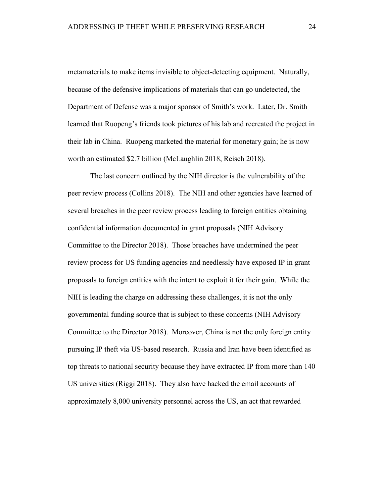metamaterials to make items invisible to object-detecting equipment. Naturally, because of the defensive implications of materials that can go undetected, the Department of Defense was a major sponsor of Smith's work. Later, Dr. Smith learned that Ruopeng's friends took pictures of his lab and recreated the project in their lab in China. Ruopeng marketed the material for monetary gain; he is now worth an estimated \$2.7 billion (McLaughlin 2018, Reisch 2018).

The last concern outlined by the NIH director is the vulnerability of the peer review process (Collins 2018). The NIH and other agencies have learned of several breaches in the peer review process leading to foreign entities obtaining confidential information documented in grant proposals (NIH Advisory Committee to the Director 2018). Those breaches have undermined the peer review process for US funding agencies and needlessly have exposed IP in grant proposals to foreign entities with the intent to exploit it for their gain. While the NIH is leading the charge on addressing these challenges, it is not the only governmental funding source that is subject to these concerns (NIH Advisory Committee to the Director 2018). Moreover, China is not the only foreign entity pursuing IP theft via US-based research. Russia and Iran have been identified as top threats to national security because they have extracted IP from more than 140 US universities (Riggi 2018). They also have hacked the email accounts of approximately 8,000 university personnel across the US, an act that rewarded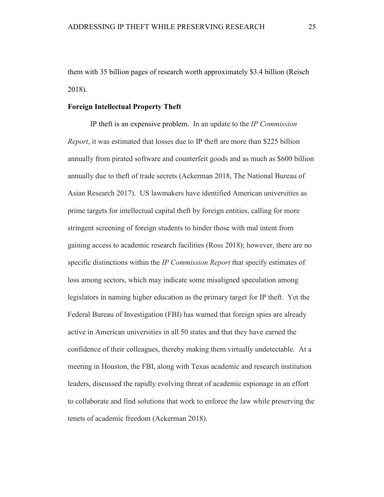them with 35 billion pages of research worth approximately \$3.4 billion (Reisch 2018).

#### <span id="page-24-0"></span>**Foreign Intellectual Property Theft**

IP theft is an expensive problem. In an update to the *IP Commission Report*, it was estimated that losses due to IP theft are more than \$225 billion annually from pirated software and counterfeit goods and as much as \$600 billion annually due to theft of trade secrets (Ackerman 2018, The National Bureau of Asian Research 2017). US lawmakers have identified American universities as prime targets for intellectual capital theft by foreign entities, calling for more stringent screening of foreign students to hinder those with mal intent from gaining access to academic research facilities (Ross 2018); however, there are no specific distinctions within the *IP Commission Report* that specify estimates of loss among sectors, which may indicate some misaligned speculation among legislators in naming higher education as the primary target for IP theft. Yet the Federal Bureau of Investigation (FBI) has warned that foreign spies are already active in American universities in all 50 states and that they have earned the confidence of their colleagues, thereby making them virtually undetectable. At a meeting in Houston, the FBI, along with Texas academic and research institution leaders, discussed the rapidly evolving threat of academic espionage in an effort to collaborate and find solutions that work to enforce the law while preserving the tenets of academic freedom (Ackerman 2018).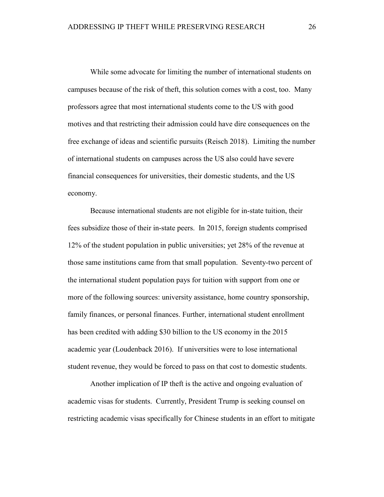While some advocate for limiting the number of international students on campuses because of the risk of theft, this solution comes with a cost, too. Many professors agree that most international students come to the US with good motives and that restricting their admission could have dire consequences on the free exchange of ideas and scientific pursuits (Reisch 2018). Limiting the number of international students on campuses across the US also could have severe financial consequences for universities, their domestic students, and the US economy.

Because international students are not eligible for in-state tuition, their fees subsidize those of their in-state peers. In 2015, foreign students comprised 12% of the student population in public universities; yet 28% of the revenue at those same institutions came from that small population. Seventy-two percent of the international student population pays for tuition with support from one or more of the following sources: university assistance, home country sponsorship, family finances, or personal finances. Further, international student enrollment has been credited with adding \$30 billion to the US economy in the 2015 academic year (Loudenback 2016). If universities were to lose international student revenue, they would be forced to pass on that cost to domestic students.

Another implication of IP theft is the active and ongoing evaluation of academic visas for students. Currently, President Trump is seeking counsel on restricting academic visas specifically for Chinese students in an effort to mitigate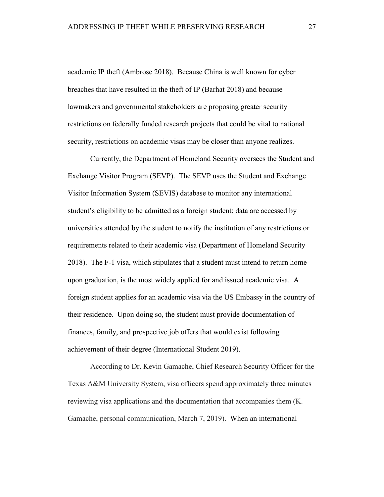academic IP theft (Ambrose 2018). Because China is well known for cyber breaches that have resulted in the theft of IP (Barhat 2018) and because lawmakers and governmental stakeholders are proposing greater security restrictions on federally funded research projects that could be vital to national security, restrictions on academic visas may be closer than anyone realizes.

Currently, the Department of Homeland Security oversees the Student and Exchange Visitor Program (SEVP). The SEVP uses the Student and Exchange Visitor Information System (SEVIS) database to monitor any international student's eligibility to be admitted as a foreign student; data are accessed by universities attended by the student to notify the institution of any restrictions or requirements related to their academic visa (Department of Homeland Security 2018). The F-1 visa, which stipulates that a student must intend to return home upon graduation, is the most widely applied for and issued academic visa. A foreign student applies for an academic visa via the US Embassy in the country of their residence. Upon doing so, the student must provide documentation of finances, family, and prospective job offers that would exist following achievement of their degree (International Student 2019).

According to Dr. Kevin Gamache, Chief Research Security Officer for the Texas A&M University System, visa officers spend approximately three minutes reviewing visa applications and the documentation that accompanies them (K. Gamache, personal communication, March 7, 2019). When an international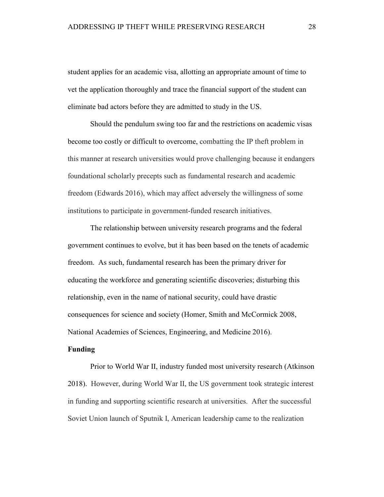student applies for an academic visa, allotting an appropriate amount of time to vet the application thoroughly and trace the financial support of the student can eliminate bad actors before they are admitted to study in the US.

Should the pendulum swing too far and the restrictions on academic visas become too costly or difficult to overcome, combatting the IP theft problem in this manner at research universities would prove challenging because it endangers foundational scholarly precepts such as fundamental research and academic freedom (Edwards 2016), which may affect adversely the willingness of some institutions to participate in government-funded research initiatives.

The relationship between university research programs and the federal government continues to evolve, but it has been based on the tenets of academic freedom. As such, fundamental research has been the primary driver for educating the workforce and generating scientific discoveries; disturbing this relationship, even in the name of national security, could have drastic consequences for science and society (Homer, Smith and McCormick 2008, National Academies of Sciences, Engineering, and Medicine 2016).

#### <span id="page-27-0"></span>**Funding**

Prior to World War II, industry funded most university research (Atkinson 2018). However, during World War II, the US government took strategic interest in funding and supporting scientific research at universities. After the successful Soviet Union launch of Sputnik I, American leadership came to the realization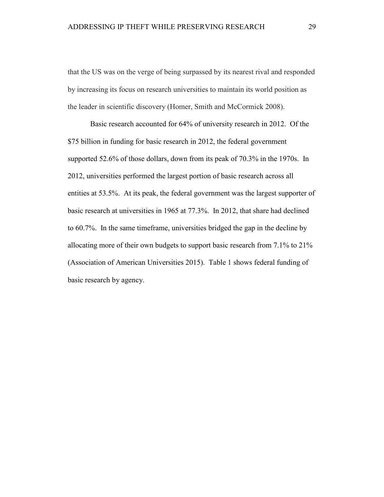that the US was on the verge of being surpassed by its nearest rival and responded by increasing its focus on research universities to maintain its world position as the leader in scientific discovery (Homer, Smith and McCormick 2008).

Basic research accounted for 64% of university research in 2012. Of the \$75 billion in funding for basic research in 2012, the federal government supported 52.6% of those dollars, down from its peak of 70.3% in the 1970s. In 2012, universities performed the largest portion of basic research across all entities at 53.5%. At its peak, the federal government was the largest supporter of basic research at universities in 1965 at 77.3%. In 2012, that share had declined to 60.7%. In the same timeframe, universities bridged the gap in the decline by allocating more of their own budgets to support basic research from 7.1% to 21% (Association of American Universities 2015). Table 1 shows federal funding of basic research by agency.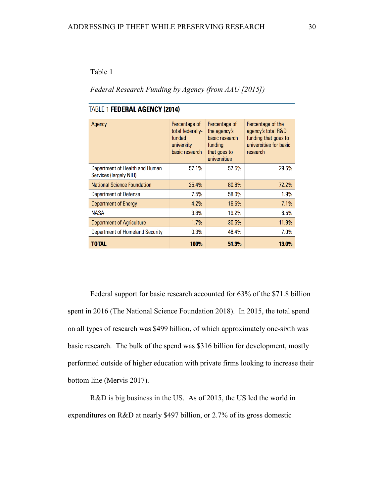## Table 1

## *Federal Research Funding by Agency (from AAU [2015])*

| Agency                                                   | Percentage of<br>total federally-<br>funded<br>university<br>basic research | Percentage of<br>the agency's<br>basic research<br>funding<br>that goes to<br>universities | Percentage of the<br>agency's total R&D<br>funding that goes to<br>universities for basic<br>research |
|----------------------------------------------------------|-----------------------------------------------------------------------------|--------------------------------------------------------------------------------------------|-------------------------------------------------------------------------------------------------------|
| Department of Health and Human<br>Services (largely NIH) | 57.1%                                                                       | 57.5%                                                                                      | 29.5%                                                                                                 |
| <b>National Science Foundation</b>                       | 25.4%                                                                       | 80.8%                                                                                      | 72.2%                                                                                                 |
| Department of Defense                                    | 7.5%                                                                        | 58.0%                                                                                      | 1.9%                                                                                                  |
| Department of Energy                                     | 4.2%                                                                        | 16.5%                                                                                      | 7.1%                                                                                                  |
| <b>NASA</b>                                              | 3.8%                                                                        | 19.2%                                                                                      | 6.5%                                                                                                  |
| Department of Agriculture                                | 1.7%                                                                        | 30.5%                                                                                      | 11.9%                                                                                                 |
| Department of Homeland Security                          | 0.3%                                                                        | 48.4%                                                                                      | 7.0%                                                                                                  |
| TOTAL                                                    | <b>100%</b>                                                                 | 51.3%                                                                                      | 13.0%                                                                                                 |

## TABLE 1 FEDERAL AGENCY (2014)

Federal support for basic research accounted for 63% of the \$71.8 billion spent in 2016 (The National Science Foundation 2018). In 2015, the total spend on all types of research was \$499 billion, of which approximately one-sixth was basic research. The bulk of the spend was \$316 billion for development, mostly performed outside of higher education with private firms looking to increase their bottom line (Mervis 2017).

R&D is big business in the US. As of 2015, the US led the world in expenditures on R&D at nearly \$497 billion, or 2.7% of its gross domestic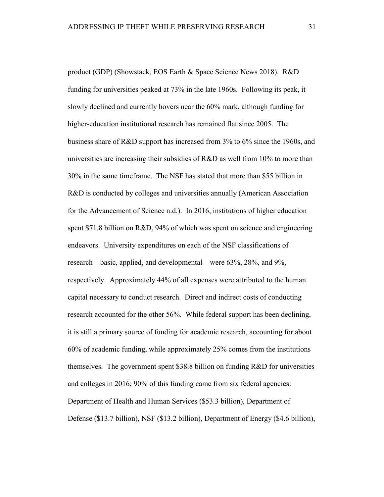product (GDP) (Showstack, EOS Earth & Space Science News 2018). R&D funding for universities peaked at 73% in the late 1960s. Following its peak, it slowly declined and currently hovers near the 60% mark, although funding for higher-education institutional research has remained flat since 2005. The business share of R&D support has increased from 3% to 6% since the 1960s, and universities are increasing their subsidies of R&D as well from 10% to more than 30% in the same timeframe. The NSF has stated that more than \$55 billion in R&D is conducted by colleges and universities annually (American Association for the Advancement of Science n.d.). In 2016, institutions of higher education spent \$71.8 billion on R&D, 94% of which was spent on science and engineering endeavors. University expenditures on each of the NSF classifications of research—basic, applied, and developmental—were 63%, 28%, and 9%, respectively. Approximately 44% of all expenses were attributed to the human capital necessary to conduct research. Direct and indirect costs of conducting research accounted for the other 56%. While federal support has been declining, it is still a primary source of funding for academic research, accounting for about 60% of academic funding, while approximately 25% comes from the institutions themselves. The government spent \$38.8 billion on funding R&D for universities and colleges in 2016; 90% of this funding came from six federal agencies: Department of Health and Human Services (\$53.3 billion), Department of Defense (\$13.7 billion), NSF (\$13.2 billion), Department of Energy (\$4.6 billion),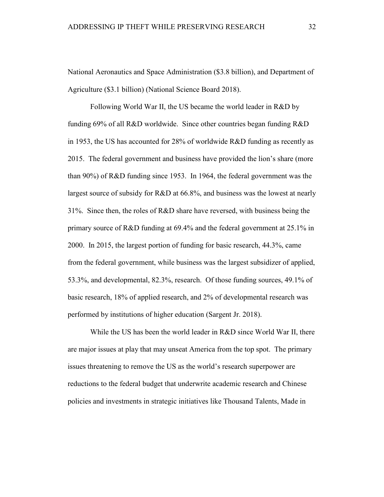National Aeronautics and Space Administration (\$3.8 billion), and Department of Agriculture (\$3.1 billion) (National Science Board 2018).

Following World War II, the US became the world leader in R&D by funding 69% of all R&D worldwide. Since other countries began funding R&D in 1953, the US has accounted for 28% of worldwide R&D funding as recently as 2015. The federal government and business have provided the lion's share (more than 90%) of R&D funding since 1953. In 1964, the federal government was the largest source of subsidy for R&D at 66.8%, and business was the lowest at nearly 31%. Since then, the roles of R&D share have reversed, with business being the primary source of R&D funding at 69.4% and the federal government at 25.1% in 2000. In 2015, the largest portion of funding for basic research, 44.3%, came from the federal government, while business was the largest subsidizer of applied, 53.3%, and developmental, 82.3%, research. Of those funding sources, 49.1% of basic research, 18% of applied research, and 2% of developmental research was performed by institutions of higher education (Sargent Jr. 2018).

While the US has been the world leader in R&D since World War II, there are major issues at play that may unseat America from the top spot. The primary issues threatening to remove the US as the world's research superpower are reductions to the federal budget that underwrite academic research and Chinese policies and investments in strategic initiatives like Thousand Talents, Made in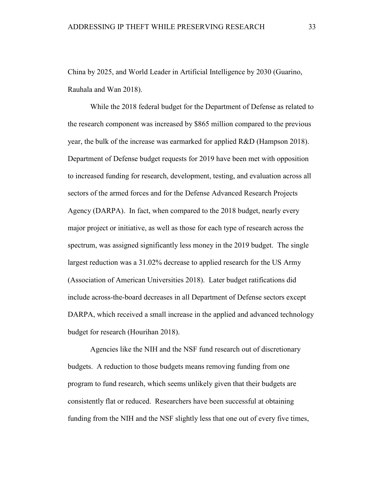China by 2025, and World Leader in Artificial Intelligence by 2030 (Guarino, Rauhala and Wan 2018).

While the 2018 federal budget for the Department of Defense as related to the research component was increased by \$865 million compared to the previous year, the bulk of the increase was earmarked for applied R&D (Hampson 2018). Department of Defense budget requests for 2019 have been met with opposition to increased funding for research, development, testing, and evaluation across all sectors of the armed forces and for the Defense Advanced Research Projects Agency (DARPA). In fact, when compared to the 2018 budget, nearly every major project or initiative, as well as those for each type of research across the spectrum, was assigned significantly less money in the 2019 budget. The single largest reduction was a 31.02% decrease to applied research for the US Army (Association of American Universities 2018). Later budget ratifications did include across-the-board decreases in all Department of Defense sectors except DARPA, which received a small increase in the applied and advanced technology budget for research (Hourihan 2018).

Agencies like the NIH and the NSF fund research out of discretionary budgets. A reduction to those budgets means removing funding from one program to fund research, which seems unlikely given that their budgets are consistently flat or reduced. Researchers have been successful at obtaining funding from the NIH and the NSF slightly less that one out of every five times,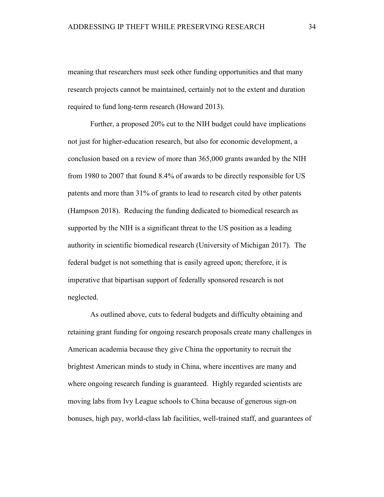meaning that researchers must seek other funding opportunities and that many research projects cannot be maintained, certainly not to the extent and duration required to fund long-term research (Howard 2013).

Further, a proposed 20% cut to the NIH budget could have implications not just for higher-education research, but also for economic development, a conclusion based on a review of more than 365,000 grants awarded by the NIH from 1980 to 2007 that found 8.4% of awards to be directly responsible for US patents and more than 31% of grants to lead to research cited by other patents (Hampson 2018). Reducing the funding dedicated to biomedical research as supported by the NIH is a significant threat to the US position as a leading authority in scientific biomedical research (University of Michigan 2017). The federal budget is not something that is easily agreed upon; therefore, it is imperative that bipartisan support of federally sponsored research is not neglected.

As outlined above, cuts to federal budgets and difficulty obtaining and retaining grant funding for ongoing research proposals create many challenges in American academia because they give China the opportunity to recruit the brightest American minds to study in China, where incentives are many and where ongoing research funding is guaranteed. Highly regarded scientists are moving labs from Ivy League schools to China because of generous sign-on bonuses, high pay, world-class lab facilities, well-trained staff, and guarantees of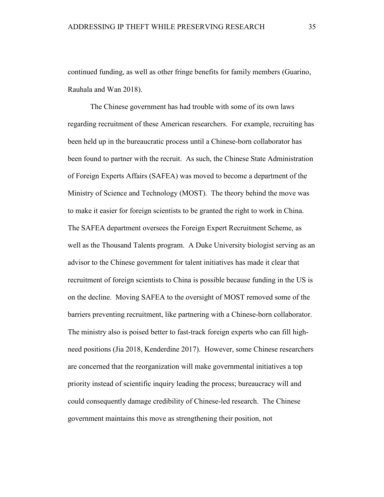continued funding, as well as other fringe benefits for family members (Guarino, Rauhala and Wan 2018).

The Chinese government has had trouble with some of its own laws regarding recruitment of these American researchers. For example, recruiting has been held up in the bureaucratic process until a Chinese-born collaborator has been found to partner with the recruit. As such, the Chinese State Administration of Foreign Experts Affairs (SAFEA) was moved to become a department of the Ministry of Science and Technology (MOST). The theory behind the move was to make it easier for foreign scientists to be granted the right to work in China. The SAFEA department oversees the Foreign Expert Recruitment Scheme, as well as the Thousand Talents program. A Duke University biologist serving as an advisor to the Chinese government for talent initiatives has made it clear that recruitment of foreign scientists to China is possible because funding in the US is on the decline. Moving SAFEA to the oversight of MOST removed some of the barriers preventing recruitment, like partnering with a Chinese-born collaborator. The ministry also is poised better to fast-track foreign experts who can fill highneed positions (Jia 2018, Kenderdine 2017). However, some Chinese researchers are concerned that the reorganization will make governmental initiatives a top priority instead of scientific inquiry leading the process; bureaucracy will and could consequently damage credibility of Chinese-led research. The Chinese government maintains this move as strengthening their position, not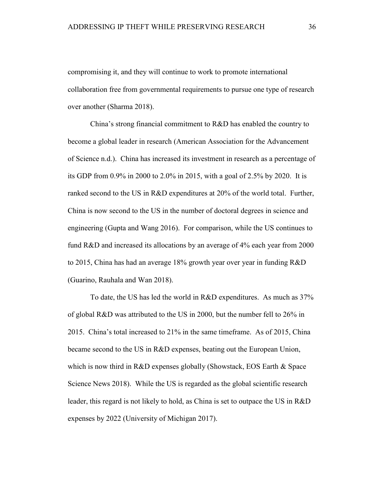compromising it, and they will continue to work to promote international collaboration free from governmental requirements to pursue one type of research over another (Sharma 2018).

China's strong financial commitment to R&D has enabled the country to become a global leader in research (American Association for the Advancement of Science n.d.). China has increased its investment in research as a percentage of its GDP from 0.9% in 2000 to 2.0% in 2015, with a goal of 2.5% by 2020. It is ranked second to the US in R&D expenditures at 20% of the world total. Further, China is now second to the US in the number of doctoral degrees in science and engineering (Gupta and Wang 2016). For comparison, while the US continues to fund R&D and increased its allocations by an average of 4% each year from 2000 to 2015, China has had an average 18% growth year over year in funding R&D (Guarino, Rauhala and Wan 2018).

To date, the US has led the world in R&D expenditures. As much as 37% of global R&D was attributed to the US in 2000, but the number fell to 26% in 2015. China's total increased to 21% in the same timeframe. As of 2015, China became second to the US in R&D expenses, beating out the European Union, which is now third in R&D expenses globally (Showstack, EOS Earth & Space) Science News 2018). While the US is regarded as the global scientific research leader, this regard is not likely to hold, as China is set to outpace the US in R&D expenses by 2022 (University of Michigan 2017).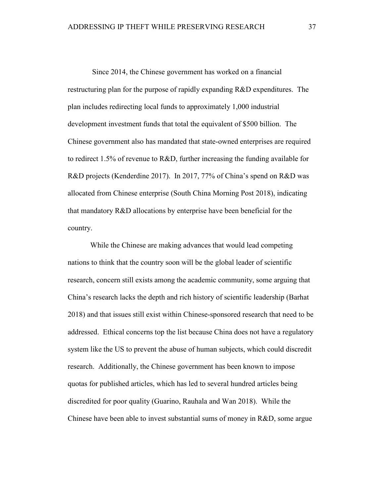Since 2014, the Chinese government has worked on a financial restructuring plan for the purpose of rapidly expanding R&D expenditures. The plan includes redirecting local funds to approximately 1,000 industrial development investment funds that total the equivalent of \$500 billion. The Chinese government also has mandated that state-owned enterprises are required to redirect 1.5% of revenue to R&D, further increasing the funding available for R&D projects (Kenderdine 2017). In 2017, 77% of China's spend on R&D was allocated from Chinese enterprise (South China Morning Post 2018), indicating that mandatory R&D allocations by enterprise have been beneficial for the country.

While the Chinese are making advances that would lead competing nations to think that the country soon will be the global leader of scientific research, concern still exists among the academic community, some arguing that China's research lacks the depth and rich history of scientific leadership (Barhat 2018) and that issues still exist within Chinese-sponsored research that need to be addressed. Ethical concerns top the list because China does not have a regulatory system like the US to prevent the abuse of human subjects, which could discredit research. Additionally, the Chinese government has been known to impose quotas for published articles, which has led to several hundred articles being discredited for poor quality (Guarino, Rauhala and Wan 2018). While the Chinese have been able to invest substantial sums of money in R&D, some argue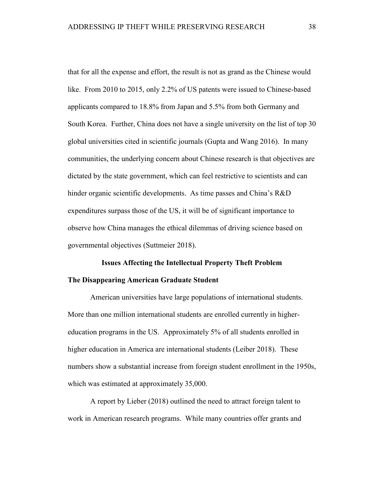that for all the expense and effort, the result is not as grand as the Chinese would like. From 2010 to 2015, only 2.2% of US patents were issued to Chinese-based applicants compared to 18.8% from Japan and 5.5% from both Germany and South Korea. Further, China does not have a single university on the list of top 30 global universities cited in scientific journals (Gupta and Wang 2016). In many communities, the underlying concern about Chinese research is that objectives are dictated by the state government, which can feel restrictive to scientists and can hinder organic scientific developments. As time passes and China's R&D expenditures surpass those of the US, it will be of significant importance to observe how China manages the ethical dilemmas of driving science based on governmental objectives (Suttmeier 2018).

# **Issues Affecting the Intellectual Property Theft Problem The Disappearing American Graduate Student**

American universities have large populations of international students. More than one million international students are enrolled currently in highereducation programs in the US. Approximately 5% of all students enrolled in higher education in America are international students (Leiber 2018). These numbers show a substantial increase from foreign student enrollment in the 1950s, which was estimated at approximately 35,000.

A report by Lieber (2018) outlined the need to attract foreign talent to work in American research programs. While many countries offer grants and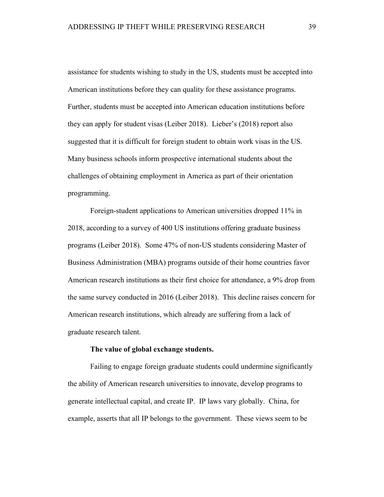assistance for students wishing to study in the US, students must be accepted into American institutions before they can quality for these assistance programs. Further, students must be accepted into American education institutions before they can apply for student visas (Leiber 2018). Lieber's (2018) report also suggested that it is difficult for foreign student to obtain work visas in the US. Many business schools inform prospective international students about the challenges of obtaining employment in America as part of their orientation programming.

Foreign-student applications to American universities dropped 11% in 2018, according to a survey of 400 US institutions offering graduate business programs (Leiber 2018). Some 47% of non-US students considering Master of Business Administration (MBA) programs outside of their home countries favor American research institutions as their first choice for attendance, a 9% drop from the same survey conducted in 2016 (Leiber 2018). This decline raises concern for American research institutions, which already are suffering from a lack of graduate research talent.

## **The value of global exchange students.**

Failing to engage foreign graduate students could undermine significantly the ability of American research universities to innovate, develop programs to generate intellectual capital, and create IP. IP laws vary globally. China, for example, asserts that all IP belongs to the government. These views seem to be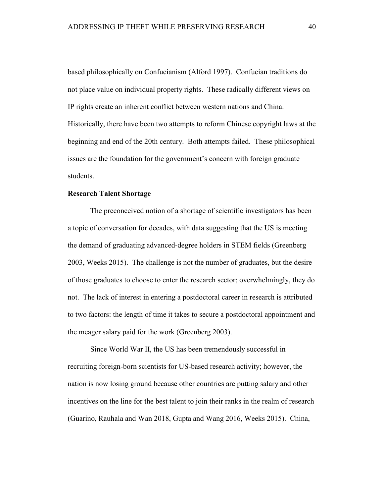based philosophically on Confucianism (Alford 1997). Confucian traditions do not place value on individual property rights. These radically different views on IP rights create an inherent conflict between western nations and China. Historically, there have been two attempts to reform Chinese copyright laws at the beginning and end of the 20th century. Both attempts failed. These philosophical issues are the foundation for the government's concern with foreign graduate students.

## **Research Talent Shortage**

The preconceived notion of a shortage of scientific investigators has been a topic of conversation for decades, with data suggesting that the US is meeting the demand of graduating advanced-degree holders in STEM fields (Greenberg 2003, Weeks 2015). The challenge is not the number of graduates, but the desire of those graduates to choose to enter the research sector; overwhelmingly, they do not. The lack of interest in entering a postdoctoral career in research is attributed to two factors: the length of time it takes to secure a postdoctoral appointment and the meager salary paid for the work (Greenberg 2003).

Since World War II, the US has been tremendously successful in recruiting foreign-born scientists for US-based research activity; however, the nation is now losing ground because other countries are putting salary and other incentives on the line for the best talent to join their ranks in the realm of research (Guarino, Rauhala and Wan 2018, Gupta and Wang 2016, Weeks 2015). China,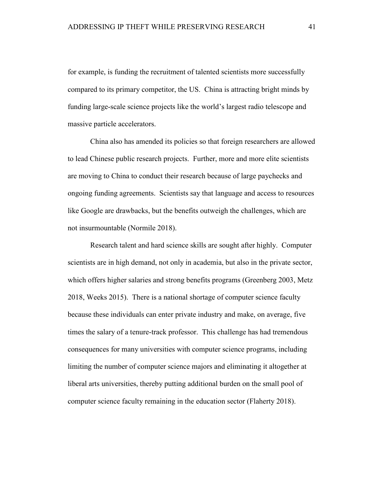for example, is funding the recruitment of talented scientists more successfully compared to its primary competitor, the US. China is attracting bright minds by funding large-scale science projects like the world's largest radio telescope and massive particle accelerators.

China also has amended its policies so that foreign researchers are allowed to lead Chinese public research projects. Further, more and more elite scientists are moving to China to conduct their research because of large paychecks and ongoing funding agreements. Scientists say that language and access to resources like Google are drawbacks, but the benefits outweigh the challenges, which are not insurmountable (Normile 2018).

Research talent and hard science skills are sought after highly. Computer scientists are in high demand, not only in academia, but also in the private sector, which offers higher salaries and strong benefits programs (Greenberg 2003, Metz 2018, Weeks 2015). There is a national shortage of computer science faculty because these individuals can enter private industry and make, on average, five times the salary of a tenure-track professor. This challenge has had tremendous consequences for many universities with computer science programs, including limiting the number of computer science majors and eliminating it altogether at liberal arts universities, thereby putting additional burden on the small pool of computer science faculty remaining in the education sector (Flaherty 2018).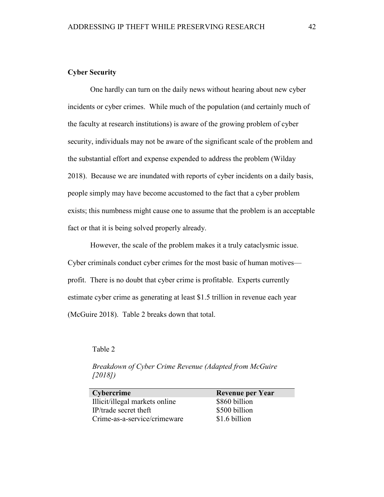# **Cyber Security**

One hardly can turn on the daily news without hearing about new cyber incidents or cyber crimes. While much of the population (and certainly much of the faculty at research institutions) is aware of the growing problem of cyber security, individuals may not be aware of the significant scale of the problem and the substantial effort and expense expended to address the problem (Wilday 2018). Because we are inundated with reports of cyber incidents on a daily basis, people simply may have become accustomed to the fact that a cyber problem exists; this numbness might cause one to assume that the problem is an acceptable fact or that it is being solved properly already.

However, the scale of the problem makes it a truly cataclysmic issue. Cyber criminals conduct cyber crimes for the most basic of human motives profit. There is no doubt that cyber crime is profitable. Experts currently estimate cyber crime as generating at least \$1.5 trillion in revenue each year (McGuire 2018). Table 2 breaks down that total.

Table 2

| Cybercrime                     | <b>Revenue per Year</b> |
|--------------------------------|-------------------------|
| Illicit/illegal markets online | \$860 billion           |
| IP/trade secret theft          | \$500 billion           |
| Crime-as-a-service/crimeware   | \$1.6 billion           |

*Breakdown of Cyber Crime Revenue (Adapted from McGuire [2018])*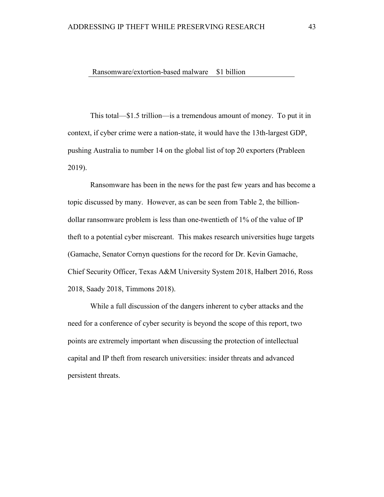Ransomware/extortion-based malware \$1 billion

This total—\$1.5 trillion—is a tremendous amount of money. To put it in context, if cyber crime were a nation-state, it would have the 13th-largest GDP, pushing Australia to number 14 on the global list of top 20 exporters (Prableen 2019).

Ransomware has been in the news for the past few years and has become a topic discussed by many. However, as can be seen from Table 2, the billiondollar ransomware problem is less than one-twentieth of 1% of the value of IP theft to a potential cyber miscreant. This makes research universities huge targets (Gamache, Senator Cornyn questions for the record for Dr. Kevin Gamache, Chief Security Officer, Texas A&M University System 2018, Halbert 2016, Ross 2018, Saady 2018, Timmons 2018).

While a full discussion of the dangers inherent to cyber attacks and the need for a conference of cyber security is beyond the scope of this report, two points are extremely important when discussing the protection of intellectual capital and IP theft from research universities: insider threats and advanced persistent threats.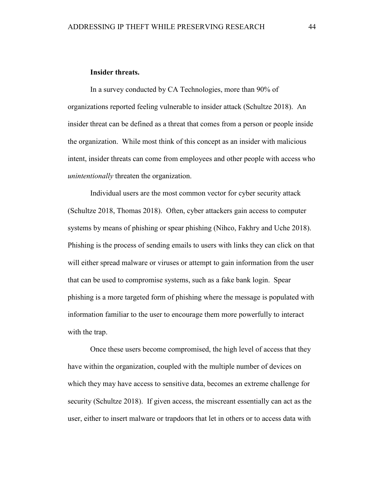## **Insider threats.**

In a survey conducted by CA Technologies, more than 90% of organizations reported feeling vulnerable to insider attack (Schultze 2018). An insider threat can be defined as a threat that comes from a person or people inside the organization. While most think of this concept as an insider with malicious intent, insider threats can come from employees and other people with access who *unintentionally* threaten the organization.

Individual users are the most common vector for cyber security attack (Schultze 2018, Thomas 2018). Often, cyber attackers gain access to computer systems by means of phishing or spear phishing (Nihco, Fakhry and Uche 2018). Phishing is the process of sending emails to users with links they can click on that will either spread malware or viruses or attempt to gain information from the user that can be used to compromise systems, such as a fake bank login. Spear phishing is a more targeted form of phishing where the message is populated with information familiar to the user to encourage them more powerfully to interact with the trap.

Once these users become compromised, the high level of access that they have within the organization, coupled with the multiple number of devices on which they may have access to sensitive data, becomes an extreme challenge for security (Schultze 2018). If given access, the miscreant essentially can act as the user, either to insert malware or trapdoors that let in others or to access data with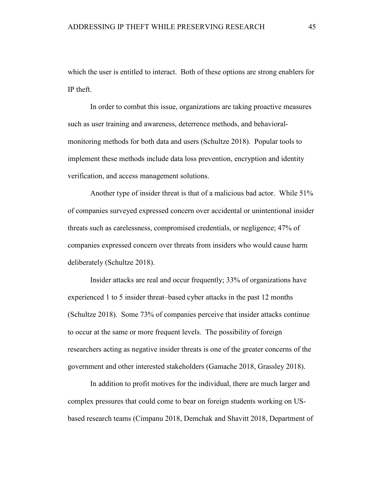which the user is entitled to interact. Both of these options are strong enablers for IP theft.

In order to combat this issue, organizations are taking proactive measures such as user training and awareness, deterrence methods, and behavioralmonitoring methods for both data and users (Schultze 2018). Popular tools to implement these methods include data loss prevention, encryption and identity verification, and access management solutions.

Another type of insider threat is that of a malicious bad actor. While 51% of companies surveyed expressed concern over accidental or unintentional insider threats such as carelessness, compromised credentials, or negligence; 47% of companies expressed concern over threats from insiders who would cause harm deliberately (Schultze 2018).

Insider attacks are real and occur frequently; 33% of organizations have experienced 1 to 5 insider threat–based cyber attacks in the past 12 months (Schultze 2018). Some 73% of companies perceive that insider attacks continue to occur at the same or more frequent levels. The possibility of foreign researchers acting as negative insider threats is one of the greater concerns of the government and other interested stakeholders (Gamache 2018, Grassley 2018).

In addition to profit motives for the individual, there are much larger and complex pressures that could come to bear on foreign students working on USbased research teams (Cimpanu 2018, Demchak and Shavitt 2018, Department of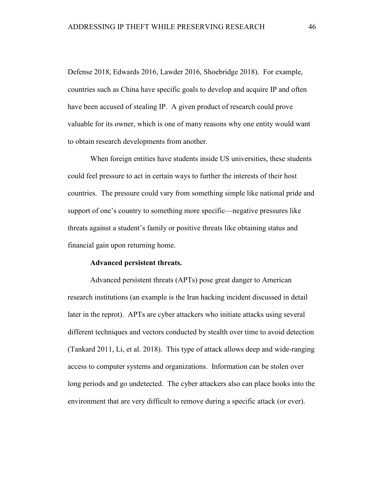Defense 2018, Edwards 2016, Lawder 2016, Shoebridge 2018). For example, countries such as China have specific goals to develop and acquire IP and often have been accused of stealing IP. A given product of research could prove valuable for its owner, which is one of many reasons why one entity would want to obtain research developments from another.

When foreign entities have students inside US universities, these students could feel pressure to act in certain ways to further the interests of their host countries. The pressure could vary from something simple like national pride and support of one's country to something more specific—negative pressures like threats against a student's family or positive threats like obtaining status and financial gain upon returning home.

## **Advanced persistent threats.**

Advanced persistent threats (APTs) pose great danger to American research institutions (an example is the Iran hacking incident discussed in detail later in the reprot). APTs are cyber attackers who initiate attacks using several different techniques and vectors conducted by stealth over time to avoid detection (Tankard 2011, Li, et al. 2018). This type of attack allows deep and wide-ranging access to computer systems and organizations. Information can be stolen over long periods and go undetected. The cyber attackers also can place hooks into the environment that are very difficult to remove during a specific attack (or ever).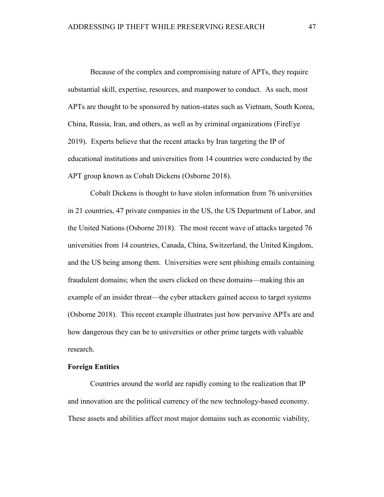Because of the complex and compromising nature of APTs, they require substantial skill, expertise, resources, and manpower to conduct. As such, most APTs are thought to be sponsored by nation-states such as Vietnam, South Korea, China, Russia, Iran, and others, as well as by criminal organizations (FireEye 2019). Experts believe that the recent attacks by Iran targeting the IP of educational institutions and universities from 14 countries were conducted by the APT group known as Cobalt Dickens (Osborne 2018).

Cobalt Dickens is thought to have stolen information from 76 universities in 21 countries, 47 private companies in the US, the US Department of Labor, and the United Nations (Osborne 2018). The most recent wave of attacks targeted 76 universities from 14 countries, Canada, China, Switzerland, the United Kingdom, and the US being among them. Universities were sent phishing emails containing fraudulent domains; when the users clicked on these domains—making this an example of an insider threat—the cyber attackers gained access to target systems (Osborne 2018). This recent example illustrates just how pervasive APTs are and how dangerous they can be to universities or other prime targets with valuable research.

#### **Foreign Entities**

Countries around the world are rapidly coming to the realization that IP and innovation are the political currency of the new technology-based economy. These assets and abilities affect most major domains such as economic viability,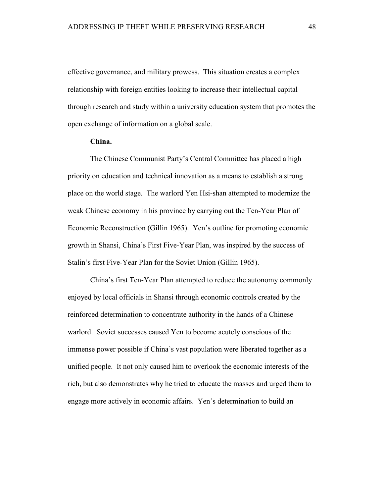effective governance, and military prowess. This situation creates a complex relationship with foreign entities looking to increase their intellectual capital through research and study within a university education system that promotes the open exchange of information on a global scale.

## **China.**

The Chinese Communist Party's Central Committee has placed a high priority on education and technical innovation as a means to establish a strong place on the world stage. The warlord Yen Hsi-shan attempted to modernize the weak Chinese economy in his province by carrying out the Ten-Year Plan of Economic Reconstruction (Gillin 1965). Yen's outline for promoting economic growth in Shansi, China's First Five-Year Plan, was inspired by the success of Stalin's first Five-Year Plan for the Soviet Union (Gillin 1965).

China's first Ten-Year Plan attempted to reduce the autonomy commonly enjoyed by local officials in Shansi through economic controls created by the reinforced determination to concentrate authority in the hands of a Chinese warlord. Soviet successes caused Yen to become acutely conscious of the immense power possible if China's vast population were liberated together as a unified people. It not only caused him to overlook the economic interests of the rich, but also demonstrates why he tried to educate the masses and urged them to engage more actively in economic affairs. Yen's determination to build an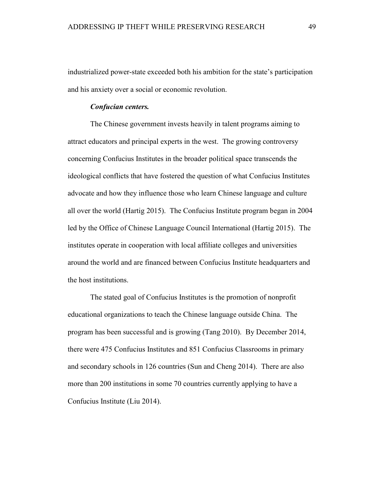industrialized power-state exceeded both his ambition for the state's participation and his anxiety over a social or economic revolution.

## *Confucian centers.*

The Chinese government invests heavily in talent programs aiming to attract educators and principal experts in the west. The growing controversy concerning Confucius Institutes in the broader political space transcends the ideological conflicts that have fostered the question of what Confucius Institutes advocate and how they influence those who learn Chinese language and culture all over the world (Hartig 2015). The Confucius Institute program began in 2004 led by the Office of Chinese Language Council International (Hartig 2015). The institutes operate in cooperation with local affiliate colleges and universities around the world and are financed between Confucius Institute headquarters and the host institutions.

The stated goal of Confucius Institutes is the promotion of nonprofit educational organizations to teach the Chinese language outside China. The program has been successful and is growing (Tang 2010). By December 2014, there were 475 Confucius Institutes and 851 Confucius Classrooms in primary and secondary schools in 126 countries (Sun and Cheng 2014). There are also more than 200 institutions in some 70 countries currently applying to have a Confucius Institute (Liu 2014).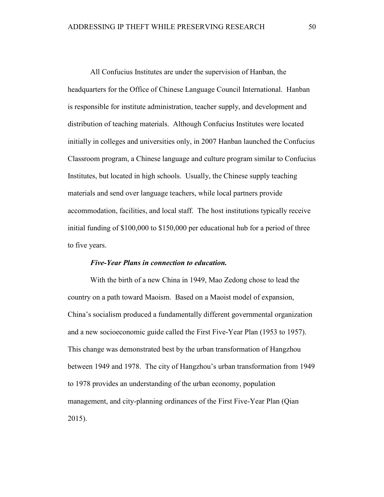All Confucius Institutes are under the supervision of Hanban, the headquarters for the Office of Chinese Language Council International. Hanban is responsible for institute administration, teacher supply, and development and distribution of teaching materials. Although Confucius Institutes were located initially in colleges and universities only, in 2007 Hanban launched the Confucius Classroom program, a Chinese language and culture program similar to Confucius Institutes, but located in high schools. Usually, the Chinese supply teaching materials and send over language teachers, while local partners provide accommodation, facilities, and local staff. The host institutions typically receive initial funding of \$100,000 to \$150,000 per educational hub for a period of three to five years.

#### *Five-Year Plans in connection to education.*

With the birth of a new China in 1949, Mao Zedong chose to lead the country on a path toward Maoism. Based on a Maoist model of expansion, China's socialism produced a fundamentally different governmental organization and a new socioeconomic guide called the First Five-Year Plan (1953 to 1957). This change was demonstrated best by the urban transformation of Hangzhou between 1949 and 1978. The city of Hangzhou's urban transformation from 1949 to 1978 provides an understanding of the urban economy, population management, and city-planning ordinances of the First Five-Year Plan (Qian 2015).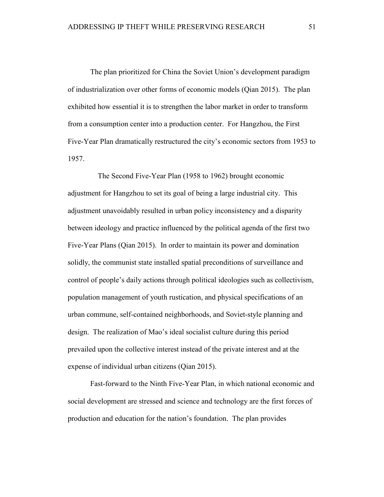The plan prioritized for China the Soviet Union's development paradigm of industrialization over other forms of economic models (Qian 2015). The plan exhibited how essential it is to strengthen the labor market in order to transform from a consumption center into a production center. For Hangzhou, the First Five-Year Plan dramatically restructured the city's economic sectors from 1953 to 1957.

 The Second Five-Year Plan (1958 to 1962) brought economic adjustment for Hangzhou to set its goal of being a large industrial city. This adjustment unavoidably resulted in urban policy inconsistency and a disparity between ideology and practice influenced by the political agenda of the first two Five-Year Plans (Qian 2015). In order to maintain its power and domination solidly, the communist state installed spatial preconditions of surveillance and control of people's daily actions through political ideologies such as collectivism, population management of youth rustication, and physical specifications of an urban commune, self-contained neighborhoods, and Soviet-style planning and design. The realization of Mao's ideal socialist culture during this period prevailed upon the collective interest instead of the private interest and at the expense of individual urban citizens (Qian 2015).

Fast-forward to the Ninth Five-Year Plan, in which national economic and social development are stressed and science and technology are the first forces of production and education for the nation's foundation. The plan provides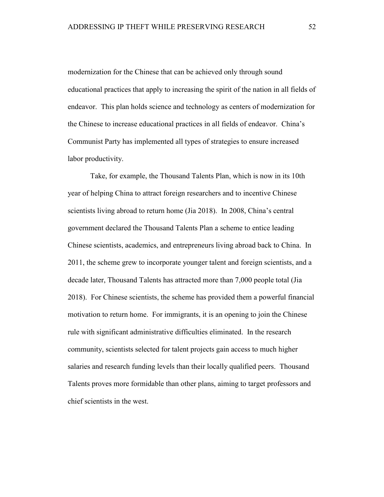modernization for the Chinese that can be achieved only through sound educational practices that apply to increasing the spirit of the nation in all fields of endeavor. This plan holds science and technology as centers of modernization for the Chinese to increase educational practices in all fields of endeavor. China's Communist Party has implemented all types of strategies to ensure increased labor productivity.

Take, for example, the Thousand Talents Plan, which is now in its 10th year of helping China to attract foreign researchers and to incentive Chinese scientists living abroad to return home (Jia 2018). In 2008, China's central government declared the Thousand Talents Plan a scheme to entice leading Chinese scientists, academics, and entrepreneurs living abroad back to China. In 2011, the scheme grew to incorporate younger talent and foreign scientists, and a decade later, Thousand Talents has attracted more than 7,000 people total (Jia 2018). For Chinese scientists, the scheme has provided them a powerful financial motivation to return home. For immigrants, it is an opening to join the Chinese rule with significant administrative difficulties eliminated. In the research community, scientists selected for talent projects gain access to much higher salaries and research funding levels than their locally qualified peers. Thousand Talents proves more formidable than other plans, aiming to target professors and chief scientists in the west.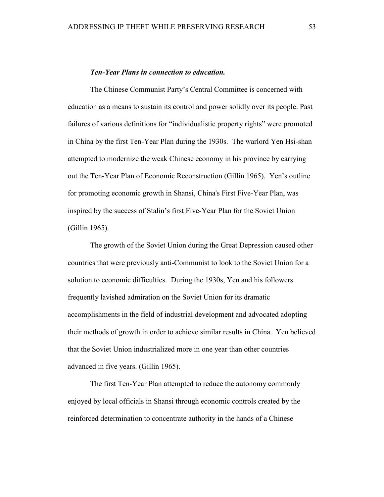#### *Ten-Year Plans in connection to education.*

The Chinese Communist Party's Central Committee is concerned with education as a means to sustain its control and power solidly over its people. Past failures of various definitions for "individualistic property rights" were promoted in China by the first Ten-Year Plan during the 1930s. The warlord Yen Hsi-shan attempted to modernize the weak Chinese economy in his province by carrying out the Ten-Year Plan of Economic Reconstruction (Gillin 1965). Yen's outline for promoting economic growth in Shansi, China's First Five-Year Plan, was inspired by the success of Stalin's first Five-Year Plan for the Soviet Union (Gillin 1965).

The growth of the Soviet Union during the Great Depression caused other countries that were previously anti-Communist to look to the Soviet Union for a solution to economic difficulties. During the 1930s, Yen and his followers frequently lavished admiration on the Soviet Union for its dramatic accomplishments in the field of industrial development and advocated adopting their methods of growth in order to achieve similar results in China. Yen believed that the Soviet Union industrialized more in one year than other countries advanced in five years. (Gillin 1965).

The first Ten-Year Plan attempted to reduce the autonomy commonly enjoyed by local officials in Shansi through economic controls created by the reinforced determination to concentrate authority in the hands of a Chinese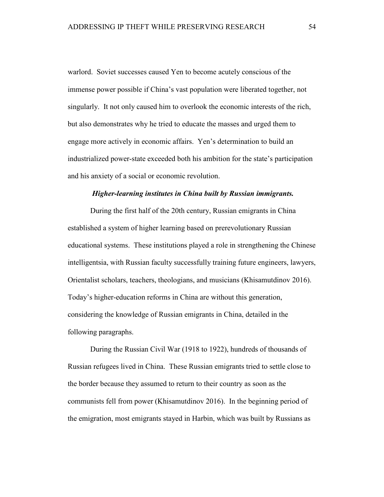warlord. Soviet successes caused Yen to become acutely conscious of the immense power possible if China's vast population were liberated together, not singularly. It not only caused him to overlook the economic interests of the rich, but also demonstrates why he tried to educate the masses and urged them to engage more actively in economic affairs. Yen's determination to build an industrialized power-state exceeded both his ambition for the state's participation and his anxiety of a social or economic revolution.

#### *Higher-learning institutes in China built by Russian immigrants.*

During the first half of the 20th century, Russian emigrants in China established a system of higher learning based on prerevolutionary Russian educational systems. These institutions played a role in strengthening the Chinese intelligentsia, with Russian faculty successfully training future engineers, lawyers, Orientalist scholars, teachers, theologians, and musicians (Khisamutdinov 2016). Today's higher-education reforms in China are without this generation, considering the knowledge of Russian emigrants in China, detailed in the following paragraphs.

During the Russian Civil War (1918 to 1922), hundreds of thousands of Russian refugees lived in China. These Russian emigrants tried to settle close to the border because they assumed to return to their country as soon as the communists fell from power (Khisamutdinov 2016). In the beginning period of the emigration, most emigrants stayed in Harbin, which was built by Russians as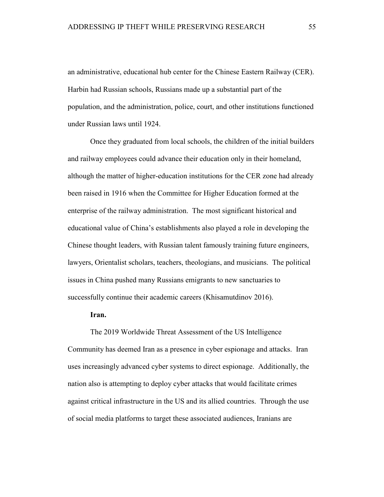an administrative, educational hub center for the Chinese Eastern Railway (CER). Harbin had Russian schools, Russians made up a substantial part of the population, and the administration, police, court, and other institutions functioned under Russian laws until 1924.

Once they graduated from local schools, the children of the initial builders and railway employees could advance their education only in their homeland, although the matter of higher-education institutions for the CER zone had already been raised in 1916 when the Committee for Higher Education formed at the enterprise of the railway administration. The most significant historical and educational value of China's establishments also played a role in developing the Chinese thought leaders, with Russian talent famously training future engineers, lawyers, Orientalist scholars, teachers, theologians, and musicians. The political issues in China pushed many Russians emigrants to new sanctuaries to successfully continue their academic careers (Khisamutdinov 2016).

### **Iran.**

The 2019 Worldwide Threat Assessment of the US Intelligence Community has deemed Iran as a presence in cyber espionage and attacks. Iran uses increasingly advanced cyber systems to direct espionage. Additionally, the nation also is attempting to deploy cyber attacks that would facilitate crimes against critical infrastructure in the US and its allied countries. Through the use of social media platforms to target these associated audiences, Iranians are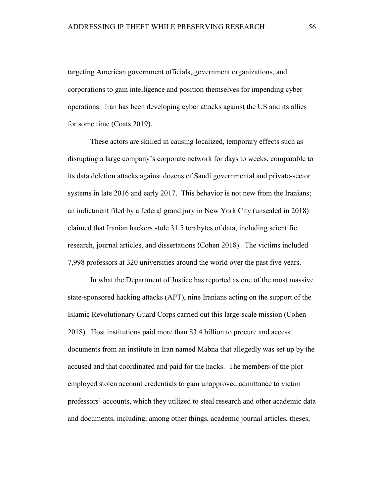targeting American government officials, government organizations, and corporations to gain intelligence and position themselves for impending cyber operations. Iran has been developing cyber attacks against the US and its allies for some time (Coats 2019).

These actors are skilled in causing localized, temporary effects such as disrupting a large company's corporate network for days to weeks, comparable to its data deletion attacks against dozens of Saudi governmental and private-sector systems in late 2016 and early 2017. This behavior is not new from the Iranians; an indictment filed by a federal grand jury in New York City (unsealed in 2018) claimed that Iranian hackers stole 31.5 terabytes of data, including scientific research, journal articles, and dissertations (Cohen 2018). The victims included 7,998 professors at 320 universities around the world over the past five years.

In what the Department of Justice has reported as one of the most massive state-sponsored hacking attacks (APT), nine Iranians acting on the support of the Islamic Revolutionary Guard Corps carried out this large-scale mission (Cohen 2018). Host institutions paid more than \$3.4 billion to procure and access documents from an institute in Iran named Mabna that allegedly was set up by the accused and that coordinated and paid for the hacks. The members of the plot employed stolen account credentials to gain unapproved admittance to victim professors' accounts, which they utilized to steal research and other academic data and documents, including, among other things, academic journal articles, theses,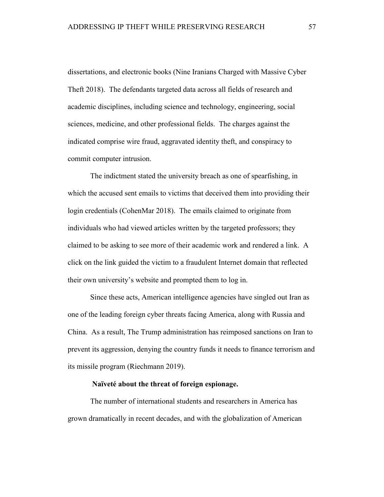dissertations, and electronic books (Nine Iranians Charged with Massive Cyber Theft 2018). The defendants targeted data across all fields of research and academic disciplines, including science and technology, engineering, social sciences, medicine, and other professional fields. The charges against the indicated comprise wire fraud, aggravated identity theft, and conspiracy to commit computer intrusion.

The indictment stated the university breach as one of spearfishing, in which the accused sent emails to victims that deceived them into providing their login credentials (CohenMar 2018). The emails claimed to originate from individuals who had viewed articles written by the targeted professors; they claimed to be asking to see more of their academic work and rendered a link. A click on the link guided the victim to a fraudulent Internet domain that reflected their own university's website and prompted them to log in.

Since these acts, American intelligence agencies have singled out Iran as one of the leading foreign cyber threats facing America, along with Russia and China. As a result, The Trump administration has reimposed sanctions on Iran to prevent its aggression, denying the country funds it needs to finance terrorism and its missile program (Riechmann 2019).

# **Naïveté about the threat of foreign espionage.**

The number of international students and researchers in America has grown dramatically in recent decades, and with the globalization of American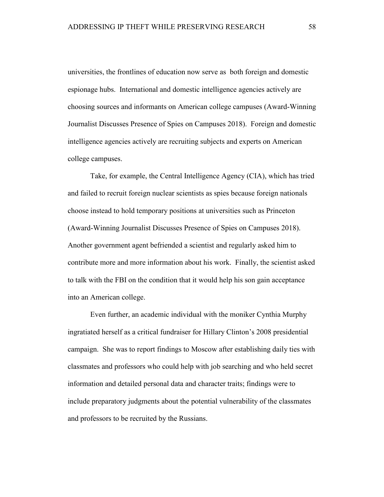universities, the frontlines of education now serve as both foreign and domestic espionage hubs. International and domestic intelligence agencies actively are choosing sources and informants on American college campuses (Award-Winning Journalist Discusses Presence of Spies on Campuses 2018). Foreign and domestic intelligence agencies actively are recruiting subjects and experts on American college campuses.

Take, for example, the Central Intelligence Agency (CIA), which has tried and failed to recruit foreign nuclear scientists as spies because foreign nationals choose instead to hold temporary positions at universities such as Princeton (Award-Winning Journalist Discusses Presence of Spies on Campuses 2018). Another government agent befriended a scientist and regularly asked him to contribute more and more information about his work. Finally, the scientist asked to talk with the FBI on the condition that it would help his son gain acceptance into an American college.

Even further, an academic individual with the moniker Cynthia Murphy ingratiated herself as a critical fundraiser for Hillary Clinton's 2008 presidential campaign. She was to report findings to Moscow after establishing daily ties with classmates and professors who could help with job searching and who held secret information and detailed personal data and character traits; findings were to include preparatory judgments about the potential vulnerability of the classmates and professors to be recruited by the Russians.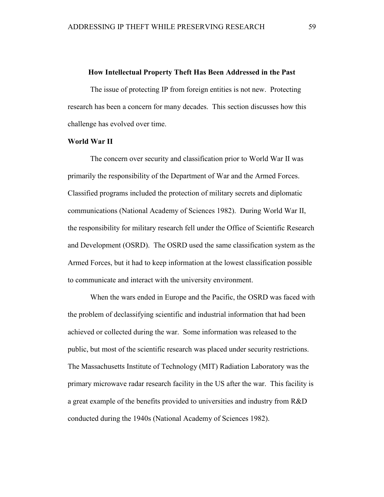#### **How Intellectual Property Theft Has Been Addressed in the Past**

The issue of protecting IP from foreign entities is not new. Protecting research has been a concern for many decades. This section discusses how this challenge has evolved over time.

## **World War II**

The concern over security and classification prior to World War II was primarily the responsibility of the Department of War and the Armed Forces. Classified programs included the protection of military secrets and diplomatic communications (National Academy of Sciences 1982). During World War II, the responsibility for military research fell under the Office of Scientific Research and Development (OSRD). The OSRD used the same classification system as the Armed Forces, but it had to keep information at the lowest classification possible to communicate and interact with the university environment.

When the wars ended in Europe and the Pacific, the OSRD was faced with the problem of declassifying scientific and industrial information that had been achieved or collected during the war. Some information was released to the public, but most of the scientific research was placed under security restrictions. The Massachusetts Institute of Technology (MIT) Radiation Laboratory was the primary microwave radar research facility in the US after the war. This facility is a great example of the benefits provided to universities and industry from R&D conducted during the 1940s (National Academy of Sciences 1982).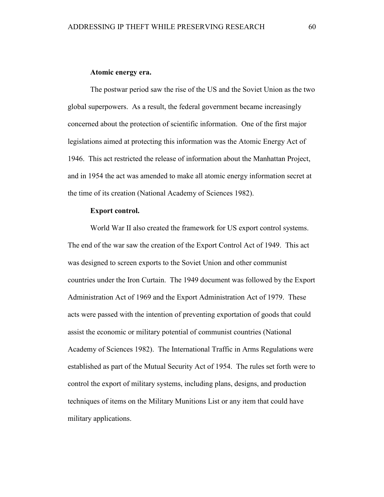#### **Atomic energy era.**

The postwar period saw the rise of the US and the Soviet Union as the two global superpowers. As a result, the federal government became increasingly concerned about the protection of scientific information. One of the first major legislations aimed at protecting this information was the Atomic Energy Act of 1946. This act restricted the release of information about the Manhattan Project, and in 1954 the act was amended to make all atomic energy information secret at the time of its creation (National Academy of Sciences 1982).

#### **Export control.**

World War II also created the framework for US export control systems. The end of the war saw the creation of the Export Control Act of 1949. This act was designed to screen exports to the Soviet Union and other communist countries under the Iron Curtain. The 1949 document was followed by the Export Administration Act of 1969 and the Export Administration Act of 1979. These acts were passed with the intention of preventing exportation of goods that could assist the economic or military potential of communist countries (National Academy of Sciences 1982). The International Traffic in Arms Regulations were established as part of the Mutual Security Act of 1954. The rules set forth were to control the export of military systems, including plans, designs, and production techniques of items on the Military Munitions List or any item that could have military applications.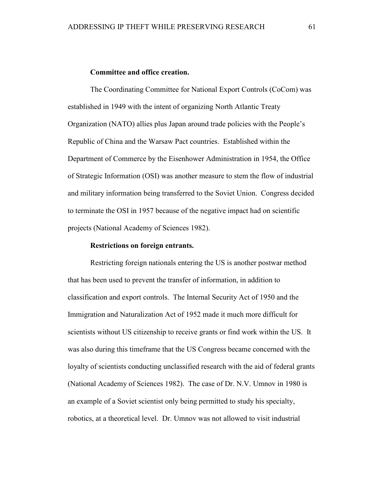## **Committee and office creation.**

The Coordinating Committee for National Export Controls (CoCom) was established in 1949 with the intent of organizing North Atlantic Treaty Organization (NATO) allies plus Japan around trade policies with the People's Republic of China and the Warsaw Pact countries. Established within the Department of Commerce by the Eisenhower Administration in 1954, the Office of Strategic Information (OSI) was another measure to stem the flow of industrial and military information being transferred to the Soviet Union. Congress decided to terminate the OSI in 1957 because of the negative impact had on scientific projects (National Academy of Sciences 1982).

## **Restrictions on foreign entrants.**

Restricting foreign nationals entering the US is another postwar method that has been used to prevent the transfer of information, in addition to classification and export controls. The Internal Security Act of 1950 and the Immigration and Naturalization Act of 1952 made it much more difficult for scientists without US citizenship to receive grants or find work within the US. It was also during this timeframe that the US Congress became concerned with the loyalty of scientists conducting unclassified research with the aid of federal grants (National Academy of Sciences 1982). The case of Dr. N.V. Umnov in 1980 is an example of a Soviet scientist only being permitted to study his specialty, robotics, at a theoretical level. Dr. Umnov was not allowed to visit industrial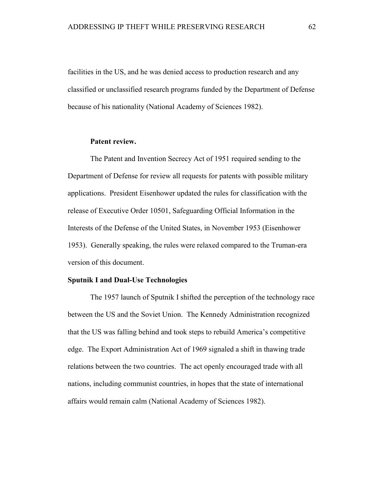facilities in the US, and he was denied access to production research and any classified or unclassified research programs funded by the Department of Defense because of his nationality (National Academy of Sciences 1982).

# **Patent review.**

The Patent and Invention Secrecy Act of 1951 required sending to the Department of Defense for review all requests for patents with possible military applications. President Eisenhower updated the rules for classification with the release of Executive Order 10501, Safeguarding Official Information in the Interests of the Defense of the United States, in November 1953 (Eisenhower 1953). Generally speaking, the rules were relaxed compared to the Truman-era version of this document.

#### **Sputnik I and Dual-Use Technologies**

The 1957 launch of Sputnik I shifted the perception of the technology race between the US and the Soviet Union. The Kennedy Administration recognized that the US was falling behind and took steps to rebuild America's competitive edge. The Export Administration Act of 1969 signaled a shift in thawing trade relations between the two countries. The act openly encouraged trade with all nations, including communist countries, in hopes that the state of international affairs would remain calm (National Academy of Sciences 1982).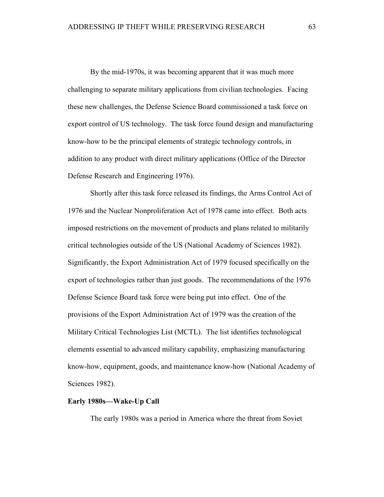By the mid-1970s, it was becoming apparent that it was much more challenging to separate military applications from civilian technologies. Facing these new challenges, the Defense Science Board commissioned a task force on export control of US technology. The task force found design and manufacturing know-how to be the principal elements of strategic technology controls, in addition to any product with direct military applications (Office of the Director Defense Research and Engineering 1976).

Shortly after this task force released its findings, the Arms Control Act of 1976 and the Nuclear Nonproliferation Act of 1978 came into effect. Both acts imposed restrictions on the movement of products and plans related to militarily critical technologies outside of the US (National Academy of Sciences 1982). Significantly, the Export Administration Act of 1979 focused specifically on the export of technologies rather than just goods. The recommendations of the 1976 Defense Science Board task force were being put into effect. One of the provisions of the Export Administration Act of 1979 was the creation of the Military Critical Technologies List (MCTL). The list identifies technological elements essential to advanced military capability, emphasizing manufacturing know-how, equipment, goods, and maintenance know-how (National Academy of Sciences 1982).

## **Early 1980s—Wake-Up Call**

The early 1980s was a period in America where the threat from Soviet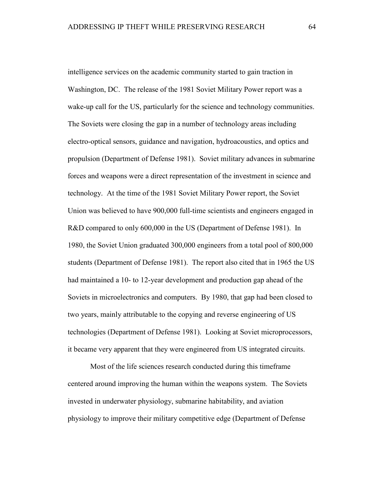intelligence services on the academic community started to gain traction in Washington, DC. The release of the 1981 Soviet Military Power report was a wake-up call for the US, particularly for the science and technology communities. The Soviets were closing the gap in a number of technology areas including electro-optical sensors, guidance and navigation, hydroacoustics, and optics and propulsion (Department of Defense 1981). Soviet military advances in submarine forces and weapons were a direct representation of the investment in science and technology. At the time of the 1981 Soviet Military Power report, the Soviet Union was believed to have 900,000 full-time scientists and engineers engaged in R&D compared to only 600,000 in the US (Department of Defense 1981). In 1980, the Soviet Union graduated 300,000 engineers from a total pool of 800,000 students (Department of Defense 1981). The report also cited that in 1965 the US had maintained a 10- to 12-year development and production gap ahead of the Soviets in microelectronics and computers. By 1980, that gap had been closed to two years, mainly attributable to the copying and reverse engineering of US technologies (Department of Defense 1981). Looking at Soviet microprocessors, it became very apparent that they were engineered from US integrated circuits.

Most of the life sciences research conducted during this timeframe centered around improving the human within the weapons system. The Soviets invested in underwater physiology, submarine habitability, and aviation physiology to improve their military competitive edge (Department of Defense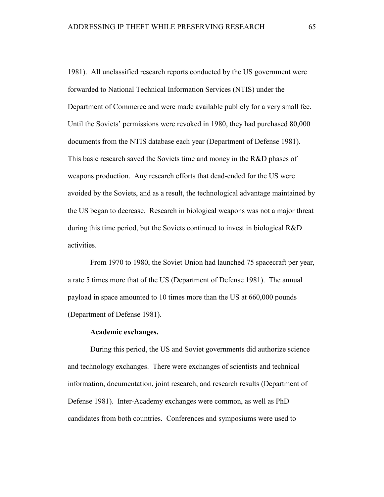1981). All unclassified research reports conducted by the US government were forwarded to National Technical Information Services (NTIS) under the Department of Commerce and were made available publicly for a very small fee. Until the Soviets' permissions were revoked in 1980, they had purchased 80,000 documents from the NTIS database each year (Department of Defense 1981). This basic research saved the Soviets time and money in the R&D phases of weapons production. Any research efforts that dead-ended for the US were avoided by the Soviets, and as a result, the technological advantage maintained by the US began to decrease. Research in biological weapons was not a major threat during this time period, but the Soviets continued to invest in biological R&D activities.

From 1970 to 1980, the Soviet Union had launched 75 spacecraft per year, a rate 5 times more that of the US (Department of Defense 1981). The annual payload in space amounted to 10 times more than the US at 660,000 pounds (Department of Defense 1981).

#### **Academic exchanges.**

During this period, the US and Soviet governments did authorize science and technology exchanges. There were exchanges of scientists and technical information, documentation, joint research, and research results (Department of Defense 1981). Inter-Academy exchanges were common, as well as PhD candidates from both countries. Conferences and symposiums were used to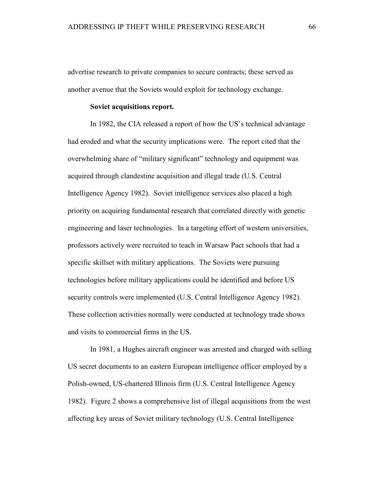advertise research to private companies to secure contracts; these served as another avenue that the Soviets would exploit for technology exchange.

## **Soviet acquisitions report.**

In 1982, the CIA released a report of how the US's technical advantage had eroded and what the security implications were. The report cited that the overwhelming share of "military significant" technology and equipment was acquired through clandestine acquisition and illegal trade (U.S. Central Intelligence Agency 1982). Soviet intelligence services also placed a high priority on acquiring fundamental research that correlated directly with genetic engineering and laser technologies. In a targeting effort of western universities, professors actively were recruited to teach in Warsaw Pact schools that had a specific skillset with military applications. The Soviets were pursuing technologies before military applications could be identified and before US security controls were implemented (U.S. Central Intelligence Agency 1982). These collection activities normally were conducted at technology trade shows and visits to commercial firms in the US.

In 1981, a Hughes aircraft engineer was arrested and charged with selling US secret documents to an eastern European intelligence officer employed by a Polish-owned, US-chartered Illinois firm (U.S. Central Intelligence Agency 1982). Figure 2 shows a comprehensive list of illegal acquisitions from the west affecting key areas of Soviet military technology (U.S. Central Intelligence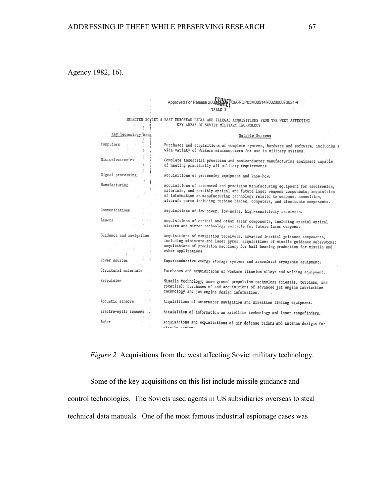Agency 1982, 16).

|                         | Approved For Release 2008<br>CIA-RDP83M00914R002000070021-4                                                                                       |
|-------------------------|---------------------------------------------------------------------------------------------------------------------------------------------------|
|                         |                                                                                                                                                   |
|                         | TABLE 2                                                                                                                                           |
|                         | SELECTED SOVIET & EAST EUROPEAN LEGAL AND ILLEGAL ACQUISITIONS FROM THE WEST AFFECTING                                                            |
|                         | KEY AREAS OF SOVIET MILITARY TECHNOLOGY                                                                                                           |
| Key Technology Area     | Notable Success                                                                                                                                   |
|                         |                                                                                                                                                   |
| Computers               | Purchases and acquisitions of complete systems, hardware and software, including a                                                                |
|                         | wide variety of Western minicomputers for use in military systems.                                                                                |
| Microelectronics        | Complete industrial processes and semiconductor manufacturing equipment capable                                                                   |
|                         | of meeting practically all military requirements.                                                                                                 |
| Signal processing       | Acquisitions of processing equipment and know-how.                                                                                                |
| $\cdot$                 |                                                                                                                                                   |
| Manufacturing           | Acquisitions of automated and precision manufacturing equipment for electronics,                                                                  |
|                         | materials, and possibly optical and future laser weapons components; acquisition                                                                  |
|                         | of information on manufacturing technology related to weapons, ammunition,                                                                        |
|                         | aircraft parts including turbine blades, computers, and electronic components.                                                                    |
| Communications          | Acquisitions of low-power, low-noise, high-sensitivity receivers.                                                                                 |
| Lasers                  |                                                                                                                                                   |
|                         | Acquisitions of optical and other laser components, including special optical<br>mirrors and mirror technology suitable for future laser weapons. |
|                         |                                                                                                                                                   |
| Guidance and navigation | Acquisitions of navigation receivers, advanced inertial guidance components,                                                                      |
|                         | including miniature and laser gyros; acquisitions of missile guidance subsystems;                                                                 |
|                         | acquisitions of precision machinery for ball bearing production for missile and                                                                   |
|                         | other applications.                                                                                                                               |
| Power sources           |                                                                                                                                                   |
|                         | Superconductive energy storage systems and associated cryogenic equipment.                                                                        |
| Structural materials    | Purchases and acquisitions of Western titanium alloys and welding equipment.                                                                      |
| Propulsion              | Missile technology; some ground propulsion technology (diesels, turbines, and                                                                     |
|                         | rotaries); purchases of and acquisitions of advanced jet engine fabrication                                                                       |
|                         | technology and jet engine design information.                                                                                                     |
| Acoustic sensors        | Acquisitions of underwater navigation and direction finding equipment.                                                                            |
| Electro-optic sensors   |                                                                                                                                                   |
|                         | Acquisition of information on satellite technology and laser rangefinders.                                                                        |
| Radar                   | Acquisitions and exploitations of air defense radars and antenna designs for                                                                      |
|                         | micoila cuotamo                                                                                                                                   |

*Figure 2.* Acquisitions from the west affecting Soviet military technology.

Some of the key acquisitions on this list include missile guidance and

control technologies. The Soviets used agents in US subsidiaries overseas to steal

technical data manuals. One of the most famous industrial espionage cases was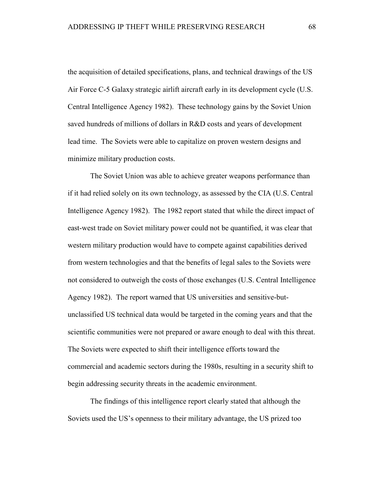the acquisition of detailed specifications, plans, and technical drawings of the US Air Force C-5 Galaxy strategic airlift aircraft early in its development cycle (U.S. Central Intelligence Agency 1982). These technology gains by the Soviet Union saved hundreds of millions of dollars in R&D costs and years of development lead time. The Soviets were able to capitalize on proven western designs and minimize military production costs.

The Soviet Union was able to achieve greater weapons performance than if it had relied solely on its own technology, as assessed by the CIA (U.S. Central Intelligence Agency 1982). The 1982 report stated that while the direct impact of east-west trade on Soviet military power could not be quantified, it was clear that western military production would have to compete against capabilities derived from western technologies and that the benefits of legal sales to the Soviets were not considered to outweigh the costs of those exchanges (U.S. Central Intelligence Agency 1982). The report warned that US universities and sensitive-butunclassified US technical data would be targeted in the coming years and that the scientific communities were not prepared or aware enough to deal with this threat. The Soviets were expected to shift their intelligence efforts toward the commercial and academic sectors during the 1980s, resulting in a security shift to begin addressing security threats in the academic environment.

The findings of this intelligence report clearly stated that although the Soviets used the US's openness to their military advantage, the US prized too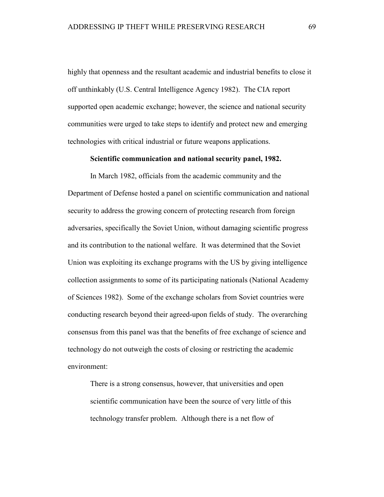highly that openness and the resultant academic and industrial benefits to close it off unthinkably (U.S. Central Intelligence Agency 1982). The CIA report supported open academic exchange; however, the science and national security communities were urged to take steps to identify and protect new and emerging technologies with critical industrial or future weapons applications.

### **Scientific communication and national security panel, 1982.**

In March 1982, officials from the academic community and the Department of Defense hosted a panel on scientific communication and national security to address the growing concern of protecting research from foreign adversaries, specifically the Soviet Union, without damaging scientific progress and its contribution to the national welfare. It was determined that the Soviet Union was exploiting its exchange programs with the US by giving intelligence collection assignments to some of its participating nationals (National Academy of Sciences 1982). Some of the exchange scholars from Soviet countries were conducting research beyond their agreed-upon fields of study. The overarching consensus from this panel was that the benefits of free exchange of science and technology do not outweigh the costs of closing or restricting the academic environment:

There is a strong consensus, however, that universities and open scientific communication have been the source of very little of this technology transfer problem. Although there is a net flow of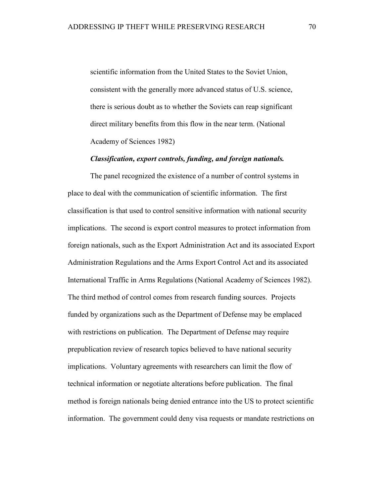scientific information from the United States to the Soviet Union, consistent with the generally more advanced status of U.S. science, there is serious doubt as to whether the Soviets can reap significant direct military benefits from this flow in the near term. (National Academy of Sciences 1982)

## *Classification, export controls, funding, and foreign nationals.*

The panel recognized the existence of a number of control systems in place to deal with the communication of scientific information. The first classification is that used to control sensitive information with national security implications. The second is export control measures to protect information from foreign nationals, such as the Export Administration Act and its associated Export Administration Regulations and the Arms Export Control Act and its associated International Traffic in Arms Regulations (National Academy of Sciences 1982). The third method of control comes from research funding sources. Projects funded by organizations such as the Department of Defense may be emplaced with restrictions on publication. The Department of Defense may require prepublication review of research topics believed to have national security implications. Voluntary agreements with researchers can limit the flow of technical information or negotiate alterations before publication. The final method is foreign nationals being denied entrance into the US to protect scientific information. The government could deny visa requests or mandate restrictions on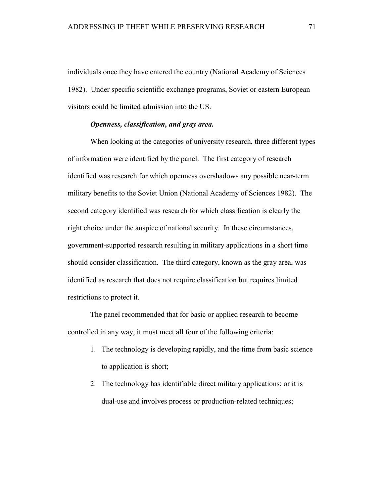individuals once they have entered the country (National Academy of Sciences 1982). Under specific scientific exchange programs, Soviet or eastern European visitors could be limited admission into the US.

# *Openness, classification, and gray area.*

When looking at the categories of university research, three different types of information were identified by the panel. The first category of research identified was research for which openness overshadows any possible near-term military benefits to the Soviet Union (National Academy of Sciences 1982). The second category identified was research for which classification is clearly the right choice under the auspice of national security. In these circumstances, government-supported research resulting in military applications in a short time should consider classification. The third category, known as the gray area, was identified as research that does not require classification but requires limited restrictions to protect it.

The panel recommended that for basic or applied research to become controlled in any way, it must meet all four of the following criteria:

- 1. The technology is developing rapidly, and the time from basic science to application is short;
- 2. The technology has identifiable direct military applications; or it is dual-use and involves process or production-related techniques;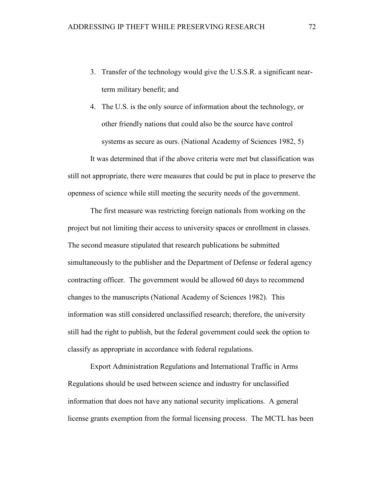- 3. Transfer of the technology would give the U.S.S.R. a significant nearterm military benefit; and
- 4. The U.S. is the only source of information about the technology, or other friendly nations that could also be the source have control systems as secure as ours. (National Academy of Sciences 1982, 5)

It was determined that if the above criteria were met but classification was still not appropriate, there were measures that could be put in place to preserve the openness of science while still meeting the security needs of the government.

The first measure was restricting foreign nationals from working on the project but not limiting their access to university spaces or enrollment in classes. The second measure stipulated that research publications be submitted simultaneously to the publisher and the Department of Defense or federal agency contracting officer. The government would be allowed 60 days to recommend changes to the manuscripts (National Academy of Sciences 1982). This information was still considered unclassified research; therefore, the university still had the right to publish, but the federal government could seek the option to classify as appropriate in accordance with federal regulations.

Export Administration Regulations and International Traffic in Arms Regulations should be used between science and industry for unclassified information that does not have any national security implications. A general license grants exemption from the formal licensing process. The MCTL has been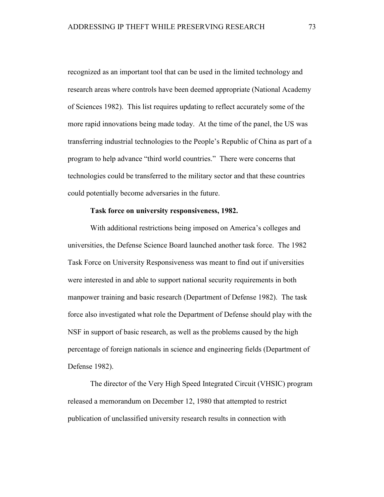recognized as an important tool that can be used in the limited technology and research areas where controls have been deemed appropriate (National Academy of Sciences 1982). This list requires updating to reflect accurately some of the more rapid innovations being made today. At the time of the panel, the US was transferring industrial technologies to the People's Republic of China as part of a program to help advance "third world countries." There were concerns that technologies could be transferred to the military sector and that these countries could potentially become adversaries in the future.

### **Task force on university responsiveness, 1982.**

With additional restrictions being imposed on America's colleges and universities, the Defense Science Board launched another task force. The 1982 Task Force on University Responsiveness was meant to find out if universities were interested in and able to support national security requirements in both manpower training and basic research (Department of Defense 1982). The task force also investigated what role the Department of Defense should play with the NSF in support of basic research, as well as the problems caused by the high percentage of foreign nationals in science and engineering fields (Department of Defense 1982).

The director of the Very High Speed Integrated Circuit (VHSIC) program released a memorandum on December 12, 1980 that attempted to restrict publication of unclassified university research results in connection with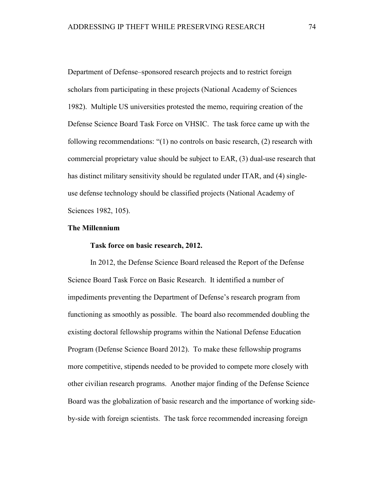Department of Defense–sponsored research projects and to restrict foreign scholars from participating in these projects (National Academy of Sciences 1982). Multiple US universities protested the memo, requiring creation of the Defense Science Board Task Force on VHSIC. The task force came up with the following recommendations: "(1) no controls on basic research, (2) research with commercial proprietary value should be subject to EAR, (3) dual-use research that has distinct military sensitivity should be regulated under ITAR, and (4) singleuse defense technology should be classified projects (National Academy of Sciences 1982, 105).

## **The Millennium**

### **Task force on basic research, 2012.**

In 2012, the Defense Science Board released the Report of the Defense Science Board Task Force on Basic Research. It identified a number of impediments preventing the Department of Defense's research program from functioning as smoothly as possible. The board also recommended doubling the existing doctoral fellowship programs within the National Defense Education Program (Defense Science Board 2012). To make these fellowship programs more competitive, stipends needed to be provided to compete more closely with other civilian research programs. Another major finding of the Defense Science Board was the globalization of basic research and the importance of working sideby-side with foreign scientists. The task force recommended increasing foreign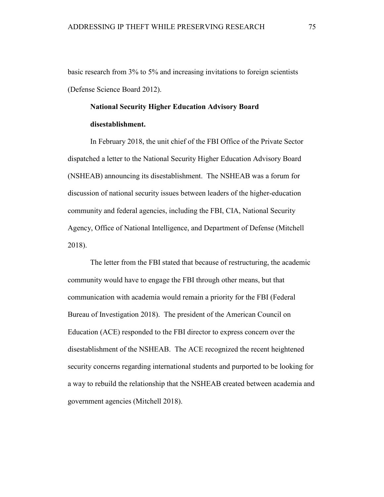basic research from 3% to 5% and increasing invitations to foreign scientists (Defense Science Board 2012).

## **National Security Higher Education Advisory Board disestablishment.**

In February 2018, the unit chief of the FBI Office of the Private Sector dispatched a letter to the National Security Higher Education Advisory Board (NSHEAB) announcing its disestablishment. The NSHEAB was a forum for discussion of national security issues between leaders of the higher-education community and federal agencies, including the FBI, CIA, National Security Agency, Office of National Intelligence, and Department of Defense (Mitchell 2018).

The letter from the FBI stated that because of restructuring, the academic community would have to engage the FBI through other means, but that communication with academia would remain a priority for the FBI (Federal Bureau of Investigation 2018). The president of the American Council on Education (ACE) responded to the FBI director to express concern over the disestablishment of the NSHEAB. The ACE recognized the recent heightened security concerns regarding international students and purported to be looking for a way to rebuild the relationship that the NSHEAB created between academia and government agencies (Mitchell 2018).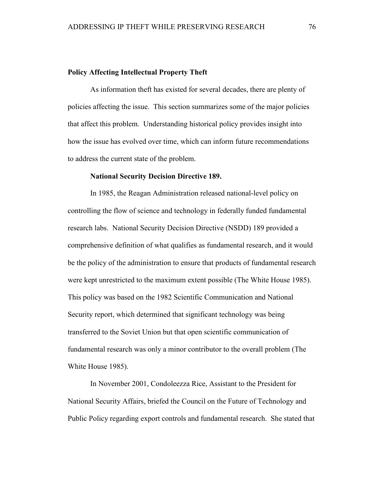## **Policy Affecting Intellectual Property Theft**

As information theft has existed for several decades, there are plenty of policies affecting the issue. This section summarizes some of the major policies that affect this problem. Understanding historical policy provides insight into how the issue has evolved over time, which can inform future recommendations to address the current state of the problem.

## **National Security Decision Directive 189.**

In 1985, the Reagan Administration released national-level policy on controlling the flow of science and technology in federally funded fundamental research labs. National Security Decision Directive (NSDD) 189 provided a comprehensive definition of what qualifies as fundamental research, and it would be the policy of the administration to ensure that products of fundamental research were kept unrestricted to the maximum extent possible (The White House 1985). This policy was based on the 1982 Scientific Communication and National Security report, which determined that significant technology was being transferred to the Soviet Union but that open scientific communication of fundamental research was only a minor contributor to the overall problem (The White House 1985).

In November 2001, Condoleezza Rice, Assistant to the President for National Security Affairs, briefed the Council on the Future of Technology and Public Policy regarding export controls and fundamental research. She stated that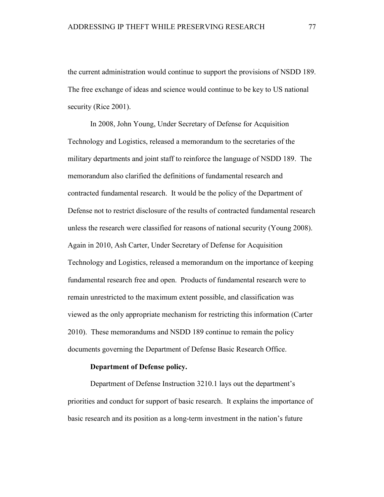the current administration would continue to support the provisions of NSDD 189. The free exchange of ideas and science would continue to be key to US national security (Rice 2001).

In 2008, John Young, Under Secretary of Defense for Acquisition Technology and Logistics, released a memorandum to the secretaries of the military departments and joint staff to reinforce the language of NSDD 189. The memorandum also clarified the definitions of fundamental research and contracted fundamental research. It would be the policy of the Department of Defense not to restrict disclosure of the results of contracted fundamental research unless the research were classified for reasons of national security (Young 2008). Again in 2010, Ash Carter, Under Secretary of Defense for Acquisition Technology and Logistics, released a memorandum on the importance of keeping fundamental research free and open. Products of fundamental research were to remain unrestricted to the maximum extent possible, and classification was viewed as the only appropriate mechanism for restricting this information (Carter 2010). These memorandums and NSDD 189 continue to remain the policy documents governing the Department of Defense Basic Research Office.

#### **Department of Defense policy.**

Department of Defense Instruction 3210.1 lays out the department's priorities and conduct for support of basic research. It explains the importance of basic research and its position as a long-term investment in the nation's future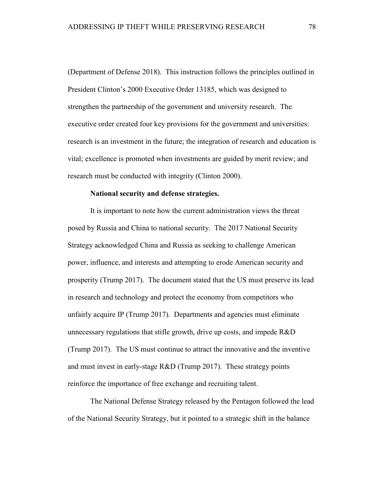(Department of Defense 2018). This instruction follows the principles outlined in President Clinton's 2000 Executive Order 13185, which was designed to strengthen the partnership of the government and university research. The executive order created four key provisions for the government and universities: research is an investment in the future; the integration of research and education is vital; excellence is promoted when investments are guided by merit review; and research must be conducted with integrity (Clinton 2000).

### **National security and defense strategies.**

It is important to note how the current administration views the threat posed by Russia and China to national security. The 2017 National Security Strategy acknowledged China and Russia as seeking to challenge American power, influence, and interests and attempting to erode American security and prosperity (Trump 2017). The document stated that the US must preserve its lead in research and technology and protect the economy from competitors who unfairly acquire IP (Trump 2017). Departments and agencies must eliminate unnecessary regulations that stifle growth, drive up costs, and impede R&D (Trump 2017). The US must continue to attract the innovative and the inventive and must invest in early-stage R&D (Trump 2017). These strategy points reinforce the importance of free exchange and recruiting talent.

The National Defense Strategy released by the Pentagon followed the lead of the National Security Strategy, but it pointed to a strategic shift in the balance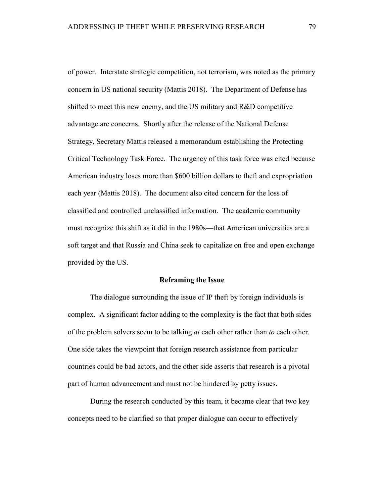of power. Interstate strategic competition, not terrorism, was noted as the primary concern in US national security (Mattis 2018). The Department of Defense has shifted to meet this new enemy, and the US military and R&D competitive advantage are concerns. Shortly after the release of the National Defense Strategy, Secretary Mattis released a memorandum establishing the Protecting Critical Technology Task Force. The urgency of this task force was cited because American industry loses more than \$600 billion dollars to theft and expropriation each year (Mattis 2018). The document also cited concern for the loss of classified and controlled unclassified information. The academic community must recognize this shift as it did in the 1980s—that American universities are a soft target and that Russia and China seek to capitalize on free and open exchange provided by the US.

### **Reframing the Issue**

The dialogue surrounding the issue of IP theft by foreign individuals is complex. A significant factor adding to the complexity is the fact that both sides of the problem solvers seem to be talking *at* each other rather than *to* each other. One side takes the viewpoint that foreign research assistance from particular countries could be bad actors, and the other side asserts that research is a pivotal part of human advancement and must not be hindered by petty issues.

During the research conducted by this team, it became clear that two key concepts need to be clarified so that proper dialogue can occur to effectively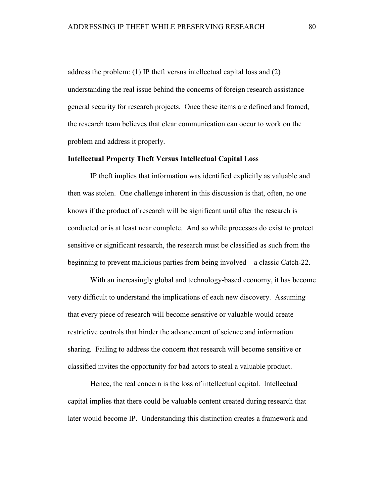address the problem: (1) IP theft versus intellectual capital loss and (2) understanding the real issue behind the concerns of foreign research assistance general security for research projects. Once these items are defined and framed, the research team believes that clear communication can occur to work on the problem and address it properly.

## **Intellectual Property Theft Versus Intellectual Capital Loss**

IP theft implies that information was identified explicitly as valuable and then was stolen. One challenge inherent in this discussion is that, often, no one knows if the product of research will be significant until after the research is conducted or is at least near complete. And so while processes do exist to protect sensitive or significant research, the research must be classified as such from the beginning to prevent malicious parties from being involved—a classic Catch-22.

With an increasingly global and technology-based economy, it has become very difficult to understand the implications of each new discovery. Assuming that every piece of research will become sensitive or valuable would create restrictive controls that hinder the advancement of science and information sharing. Failing to address the concern that research will become sensitive or classified invites the opportunity for bad actors to steal a valuable product.

Hence, the real concern is the loss of intellectual capital. Intellectual capital implies that there could be valuable content created during research that later would become IP. Understanding this distinction creates a framework and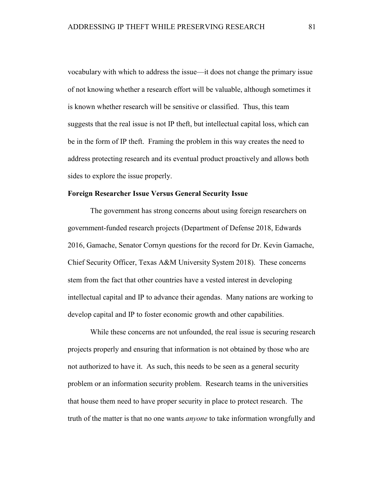vocabulary with which to address the issue—it does not change the primary issue of not knowing whether a research effort will be valuable, although sometimes it is known whether research will be sensitive or classified. Thus, this team suggests that the real issue is not IP theft, but intellectual capital loss, which can be in the form of IP theft. Framing the problem in this way creates the need to address protecting research and its eventual product proactively and allows both sides to explore the issue properly.

### **Foreign Researcher Issue Versus General Security Issue**

The government has strong concerns about using foreign researchers on government-funded research projects (Department of Defense 2018, Edwards 2016, Gamache, Senator Cornyn questions for the record for Dr. Kevin Gamache, Chief Security Officer, Texas A&M University System 2018). These concerns stem from the fact that other countries have a vested interest in developing intellectual capital and IP to advance their agendas. Many nations are working to develop capital and IP to foster economic growth and other capabilities.

While these concerns are not unfounded, the real issue is securing research projects properly and ensuring that information is not obtained by those who are not authorized to have it. As such, this needs to be seen as a general security problem or an information security problem. Research teams in the universities that house them need to have proper security in place to protect research. The truth of the matter is that no one wants *anyone* to take information wrongfully and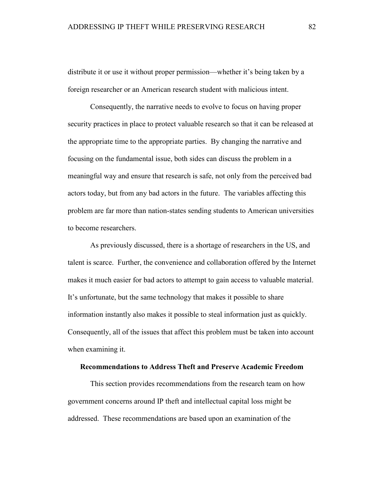distribute it or use it without proper permission—whether it's being taken by a foreign researcher or an American research student with malicious intent.

Consequently, the narrative needs to evolve to focus on having proper security practices in place to protect valuable research so that it can be released at the appropriate time to the appropriate parties. By changing the narrative and focusing on the fundamental issue, both sides can discuss the problem in a meaningful way and ensure that research is safe, not only from the perceived bad actors today, but from any bad actors in the future. The variables affecting this problem are far more than nation-states sending students to American universities to become researchers.

As previously discussed, there is a shortage of researchers in the US, and talent is scarce. Further, the convenience and collaboration offered by the Internet makes it much easier for bad actors to attempt to gain access to valuable material. It's unfortunate, but the same technology that makes it possible to share information instantly also makes it possible to steal information just as quickly. Consequently, all of the issues that affect this problem must be taken into account when examining it.

#### **Recommendations to Address Theft and Preserve Academic Freedom**

This section provides recommendations from the research team on how government concerns around IP theft and intellectual capital loss might be addressed. These recommendations are based upon an examination of the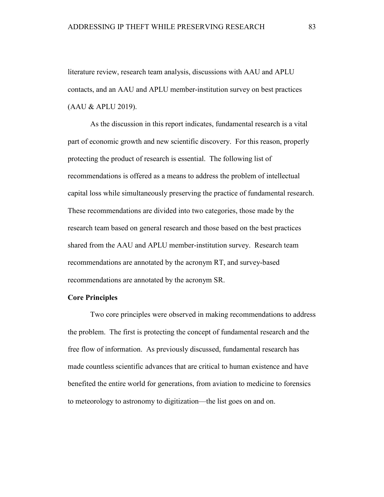literature review, research team analysis, discussions with AAU and APLU contacts, and an AAU and APLU member-institution survey on best practices (AAU & APLU 2019).

As the discussion in this report indicates, fundamental research is a vital part of economic growth and new scientific discovery. For this reason, properly protecting the product of research is essential. The following list of recommendations is offered as a means to address the problem of intellectual capital loss while simultaneously preserving the practice of fundamental research. These recommendations are divided into two categories, those made by the research team based on general research and those based on the best practices shared from the AAU and APLU member-institution survey. Research team recommendations are annotated by the acronym RT, and survey-based recommendations are annotated by the acronym SR.

## **Core Principles**

Two core principles were observed in making recommendations to address the problem. The first is protecting the concept of fundamental research and the free flow of information. As previously discussed, fundamental research has made countless scientific advances that are critical to human existence and have benefited the entire world for generations, from aviation to medicine to forensics to meteorology to astronomy to digitization—the list goes on and on.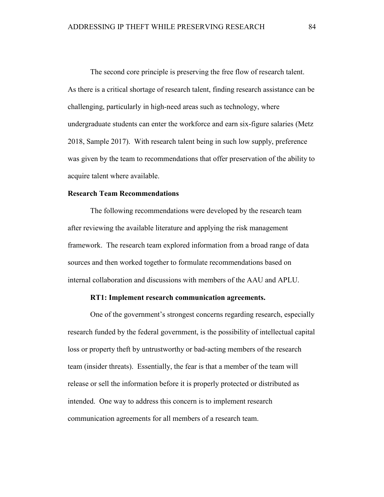The second core principle is preserving the free flow of research talent. As there is a critical shortage of research talent, finding research assistance can be challenging, particularly in high-need areas such as technology, where undergraduate students can enter the workforce and earn six-figure salaries (Metz 2018, Sample 2017). With research talent being in such low supply, preference was given by the team to recommendations that offer preservation of the ability to acquire talent where available.

## **Research Team Recommendations**

The following recommendations were developed by the research team after reviewing the available literature and applying the risk management framework. The research team explored information from a broad range of data sources and then worked together to formulate recommendations based on internal collaboration and discussions with members of the AAU and APLU.

## **RT1: Implement research communication agreements.**

One of the government's strongest concerns regarding research, especially research funded by the federal government, is the possibility of intellectual capital loss or property theft by untrustworthy or bad-acting members of the research team (insider threats). Essentially, the fear is that a member of the team will release or sell the information before it is properly protected or distributed as intended. One way to address this concern is to implement research communication agreements for all members of a research team.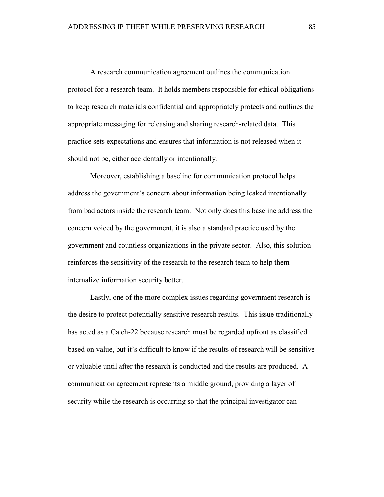A research communication agreement outlines the communication protocol for a research team. It holds members responsible for ethical obligations to keep research materials confidential and appropriately protects and outlines the appropriate messaging for releasing and sharing research-related data. This practice sets expectations and ensures that information is not released when it should not be, either accidentally or intentionally.

Moreover, establishing a baseline for communication protocol helps address the government's concern about information being leaked intentionally from bad actors inside the research team. Not only does this baseline address the concern voiced by the government, it is also a standard practice used by the government and countless organizations in the private sector. Also, this solution reinforces the sensitivity of the research to the research team to help them internalize information security better.

Lastly, one of the more complex issues regarding government research is the desire to protect potentially sensitive research results. This issue traditionally has acted as a Catch-22 because research must be regarded upfront as classified based on value, but it's difficult to know if the results of research will be sensitive or valuable until after the research is conducted and the results are produced. A communication agreement represents a middle ground, providing a layer of security while the research is occurring so that the principal investigator can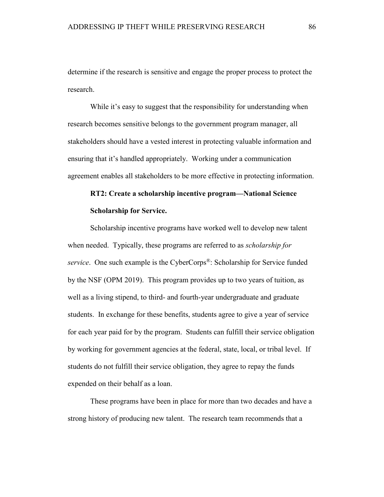determine if the research is sensitive and engage the proper process to protect the research.

While it's easy to suggest that the responsibility for understanding when research becomes sensitive belongs to the government program manager, all stakeholders should have a vested interest in protecting valuable information and ensuring that it's handled appropriately. Working under a communication agreement enables all stakeholders to be more effective in protecting information.

# **RT2: Create a scholarship incentive program—National Science Scholarship for Service.**

Scholarship incentive programs have worked well to develop new talent when needed. Typically, these programs are referred to as *scholarship for service*. One such example is the CyberCorps®: Scholarship for Service funded by the NSF (OPM 2019). This program provides up to two years of tuition, as well as a living stipend, to third- and fourth-year undergraduate and graduate students. In exchange for these benefits, students agree to give a year of service for each year paid for by the program. Students can fulfill their service obligation by working for government agencies at the federal, state, local, or tribal level. If students do not fulfill their service obligation, they agree to repay the funds expended on their behalf as a loan.

These programs have been in place for more than two decades and have a strong history of producing new talent. The research team recommends that a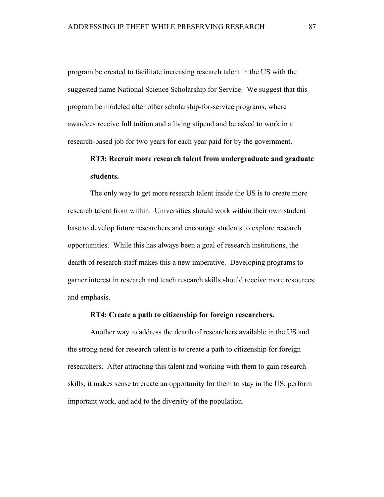program be created to facilitate increasing research talent in the US with the suggested name National Science Scholarship for Service. We suggest that this program be modeled after other scholarship-for-service programs, where awardees receive full tuition and a living stipend and be asked to work in a research-based job for two years for each year paid for by the government.

## **RT3: Recruit more research talent from undergraduate and graduate students.**

The only way to get more research talent inside the US is to create more research talent from within. Universities should work within their own student base to develop future researchers and encourage students to explore research opportunities. While this has always been a goal of research institutions, the dearth of research staff makes this a new imperative. Developing programs to garner interest in research and teach research skills should receive more resources and emphasis.

### **RT4: Create a path to citizenship for foreign researchers.**

Another way to address the dearth of researchers available in the US and the strong need for research talent is to create a path to citizenship for foreign researchers. After attracting this talent and working with them to gain research skills, it makes sense to create an opportunity for them to stay in the US, perform important work, and add to the diversity of the population.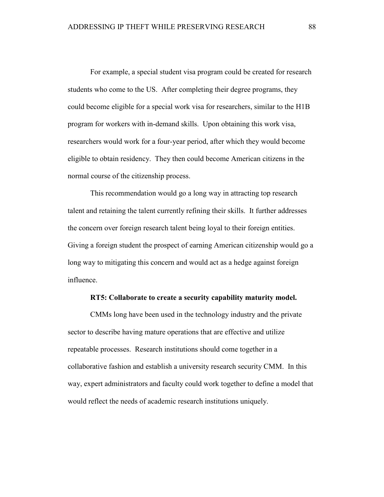For example, a special student visa program could be created for research students who come to the US. After completing their degree programs, they could become eligible for a special work visa for researchers, similar to the H1B program for workers with in-demand skills. Upon obtaining this work visa, researchers would work for a four-year period, after which they would become eligible to obtain residency. They then could become American citizens in the normal course of the citizenship process.

This recommendation would go a long way in attracting top research talent and retaining the talent currently refining their skills. It further addresses the concern over foreign research talent being loyal to their foreign entities. Giving a foreign student the prospect of earning American citizenship would go a long way to mitigating this concern and would act as a hedge against foreign influence.

## **RT5: Collaborate to create a security capability maturity model.**

CMMs long have been used in the technology industry and the private sector to describe having mature operations that are effective and utilize repeatable processes. Research institutions should come together in a collaborative fashion and establish a university research security CMM. In this way, expert administrators and faculty could work together to define a model that would reflect the needs of academic research institutions uniquely.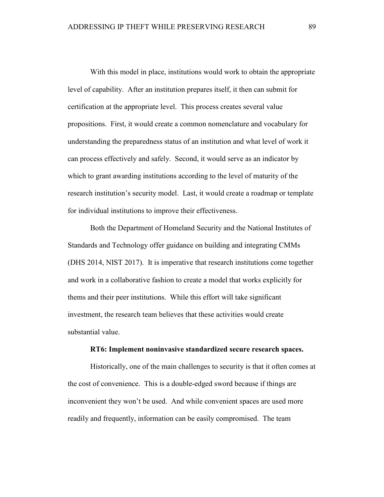With this model in place, institutions would work to obtain the appropriate level of capability. After an institution prepares itself, it then can submit for certification at the appropriate level. This process creates several value propositions. First, it would create a common nomenclature and vocabulary for understanding the preparedness status of an institution and what level of work it can process effectively and safely. Second, it would serve as an indicator by which to grant awarding institutions according to the level of maturity of the research institution's security model. Last, it would create a roadmap or template for individual institutions to improve their effectiveness.

Both the Department of Homeland Security and the National Institutes of Standards and Technology offer guidance on building and integrating CMMs (DHS 2014, NIST 2017). It is imperative that research institutions come together and work in a collaborative fashion to create a model that works explicitly for thems and their peer institutions. While this effort will take significant investment, the research team believes that these activities would create substantial value.

### **RT6: Implement noninvasive standardized secure research spaces.**

Historically, one of the main challenges to security is that it often comes at the cost of convenience. This is a double-edged sword because if things are inconvenient they won't be used. And while convenient spaces are used more readily and frequently, information can be easily compromised. The team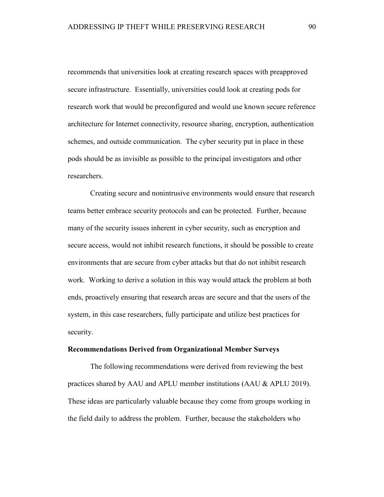recommends that universities look at creating research spaces with preapproved secure infrastructure. Essentially, universities could look at creating pods for research work that would be preconfigured and would use known secure reference architecture for Internet connectivity, resource sharing, encryption, authentication schemes, and outside communication. The cyber security put in place in these pods should be as invisible as possible to the principal investigators and other researchers.

Creating secure and nonintrusive environments would ensure that research teams better embrace security protocols and can be protected. Further, because many of the security issues inherent in cyber security, such as encryption and secure access, would not inhibit research functions, it should be possible to create environments that are secure from cyber attacks but that do not inhibit research work. Working to derive a solution in this way would attack the problem at both ends, proactively ensuring that research areas are secure and that the users of the system, in this case researchers, fully participate and utilize best practices for security.

### **Recommendations Derived from Organizational Member Surveys**

The following recommendations were derived from reviewing the best practices shared by AAU and APLU member institutions (AAU & APLU 2019). These ideas are particularly valuable because they come from groups working in the field daily to address the problem. Further, because the stakeholders who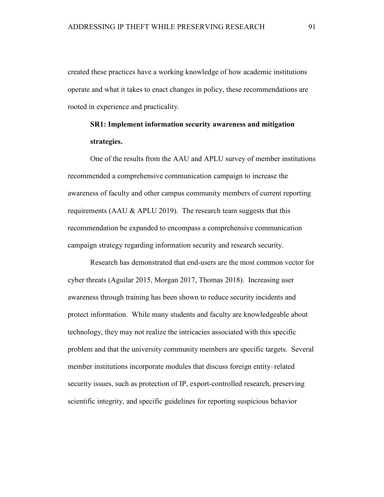created these practices have a working knowledge of how academic institutions operate and what it takes to enact changes in policy, these recommendations are rooted in experience and practicality.

# **SR1: Implement information security awareness and mitigation strategies.**

One of the results from the AAU and APLU survey of member institutions recommended a comprehensive communication campaign to increase the awareness of faculty and other campus community members of current reporting requirements (AAU & APLU 2019). The research team suggests that this recommendation be expanded to encompass a comprehensive communication campaign strategy regarding information security and research security.

Research has demonstrated that end-users are the most common vector for cyber threats (Aguilar 2015, Morgan 2017, Thomas 2018). Increasing user awareness through training has been shown to reduce security incidents and protect information. While many students and faculty are knowledgeable about technology, they may not realize the intricacies associated with this specific problem and that the university community members are specific targets. Several member institutions incorporate modules that discuss foreign entity–related security issues, such as protection of IP, export-controlled research, preserving scientific integrity, and specific guidelines for reporting suspicious behavior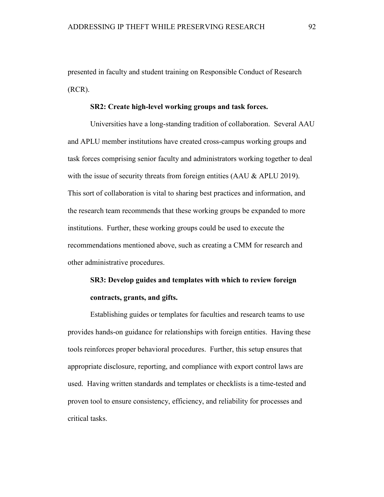presented in faculty and student training on Responsible Conduct of Research (RCR).

#### **SR2: Create high-level working groups and task forces.**

Universities have a long-standing tradition of collaboration. Several AAU and APLU member institutions have created cross-campus working groups and task forces comprising senior faculty and administrators working together to deal with the issue of security threats from foreign entities  $(AAU & APLU 2019)$ . This sort of collaboration is vital to sharing best practices and information, and the research team recommends that these working groups be expanded to more institutions. Further, these working groups could be used to execute the recommendations mentioned above, such as creating a CMM for research and other administrative procedures.

# **SR3: Develop guides and templates with which to review foreign contracts, grants, and gifts.**

Establishing guides or templates for faculties and research teams to use provides hands-on guidance for relationships with foreign entities. Having these tools reinforces proper behavioral procedures. Further, this setup ensures that appropriate disclosure, reporting, and compliance with export control laws are used. Having written standards and templates or checklists is a time-tested and proven tool to ensure consistency, efficiency, and reliability for processes and critical tasks.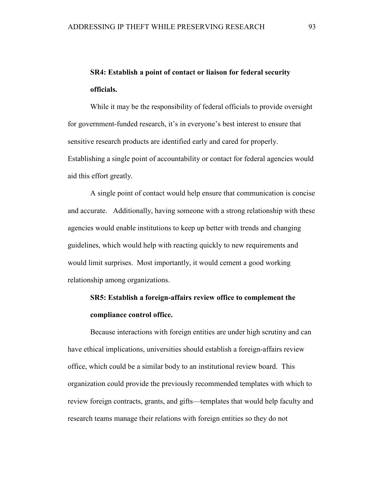## **SR4: Establish a point of contact or liaison for federal security officials.**

While it may be the responsibility of federal officials to provide oversight for government-funded research, it's in everyone's best interest to ensure that sensitive research products are identified early and cared for properly. Establishing a single point of accountability or contact for federal agencies would aid this effort greatly.

A single point of contact would help ensure that communication is concise and accurate. Additionally, having someone with a strong relationship with these agencies would enable institutions to keep up better with trends and changing guidelines, which would help with reacting quickly to new requirements and would limit surprises. Most importantly, it would cement a good working relationship among organizations.

## **SR5: Establish a foreign-affairs review office to complement the compliance control office.**

Because interactions with foreign entities are under high scrutiny and can have ethical implications, universities should establish a foreign-affairs review office, which could be a similar body to an institutional review board. This organization could provide the previously recommended templates with which to review foreign contracts, grants, and gifts—templates that would help faculty and research teams manage their relations with foreign entities so they do not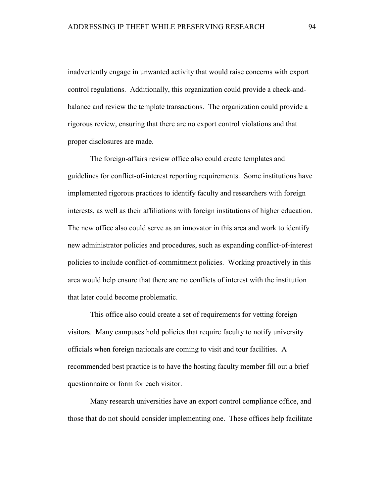inadvertently engage in unwanted activity that would raise concerns with export control regulations. Additionally, this organization could provide a check-andbalance and review the template transactions. The organization could provide a rigorous review, ensuring that there are no export control violations and that proper disclosures are made.

The foreign-affairs review office also could create templates and guidelines for conflict-of-interest reporting requirements. Some institutions have implemented rigorous practices to identify faculty and researchers with foreign interests, as well as their affiliations with foreign institutions of higher education. The new office also could serve as an innovator in this area and work to identify new administrator policies and procedures, such as expanding conflict-of-interest policies to include conflict-of-commitment policies. Working proactively in this area would help ensure that there are no conflicts of interest with the institution that later could become problematic.

This office also could create a set of requirements for vetting foreign visitors. Many campuses hold policies that require faculty to notify university officials when foreign nationals are coming to visit and tour facilities. A recommended best practice is to have the hosting faculty member fill out a brief questionnaire or form for each visitor.

Many research universities have an export control compliance office, and those that do not should consider implementing one. These offices help facilitate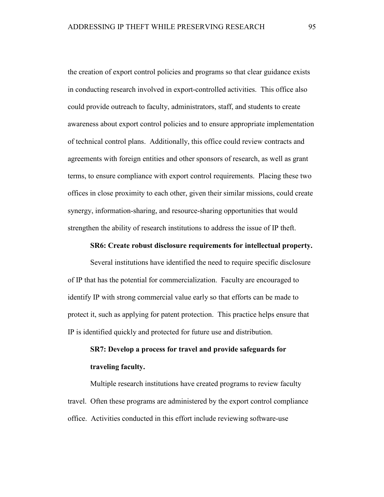the creation of export control policies and programs so that clear guidance exists in conducting research involved in export-controlled activities. This office also could provide outreach to faculty, administrators, staff, and students to create awareness about export control policies and to ensure appropriate implementation of technical control plans. Additionally, this office could review contracts and agreements with foreign entities and other sponsors of research, as well as grant terms, to ensure compliance with export control requirements. Placing these two offices in close proximity to each other, given their similar missions, could create synergy, information-sharing, and resource-sharing opportunities that would strengthen the ability of research institutions to address the issue of IP theft.

## **SR6: Create robust disclosure requirements for intellectual property.**

Several institutions have identified the need to require specific disclosure of IP that has the potential for commercialization. Faculty are encouraged to identify IP with strong commercial value early so that efforts can be made to protect it, such as applying for patent protection. This practice helps ensure that IP is identified quickly and protected for future use and distribution.

# **SR7: Develop a process for travel and provide safeguards for traveling faculty.**

Multiple research institutions have created programs to review faculty travel. Often these programs are administered by the export control compliance office. Activities conducted in this effort include reviewing software-use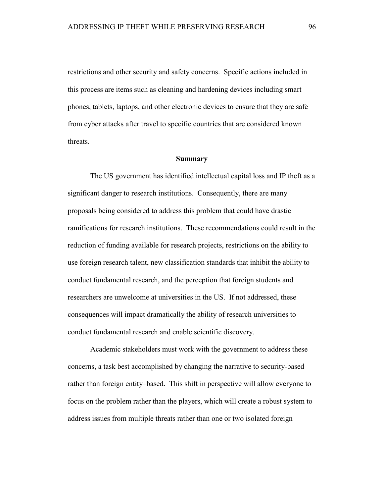restrictions and other security and safety concerns. Specific actions included in this process are items such as cleaning and hardening devices including smart phones, tablets, laptops, and other electronic devices to ensure that they are safe from cyber attacks after travel to specific countries that are considered known threats.

#### **Summary**

The US government has identified intellectual capital loss and IP theft as a significant danger to research institutions. Consequently, there are many proposals being considered to address this problem that could have drastic ramifications for research institutions. These recommendations could result in the reduction of funding available for research projects, restrictions on the ability to use foreign research talent, new classification standards that inhibit the ability to conduct fundamental research, and the perception that foreign students and researchers are unwelcome at universities in the US. If not addressed, these consequences will impact dramatically the ability of research universities to conduct fundamental research and enable scientific discovery.

Academic stakeholders must work with the government to address these concerns, a task best accomplished by changing the narrative to security-based rather than foreign entity–based. This shift in perspective will allow everyone to focus on the problem rather than the players, which will create a robust system to address issues from multiple threats rather than one or two isolated foreign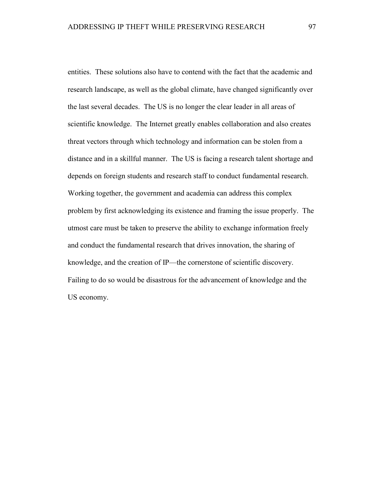entities. These solutions also have to contend with the fact that the academic and research landscape, as well as the global climate, have changed significantly over the last several decades. The US is no longer the clear leader in all areas of scientific knowledge. The Internet greatly enables collaboration and also creates threat vectors through which technology and information can be stolen from a distance and in a skillful manner. The US is facing a research talent shortage and depends on foreign students and research staff to conduct fundamental research. Working together, the government and academia can address this complex problem by first acknowledging its existence and framing the issue properly. The utmost care must be taken to preserve the ability to exchange information freely and conduct the fundamental research that drives innovation, the sharing of knowledge, and the creation of IP—the cornerstone of scientific discovery. Failing to do so would be disastrous for the advancement of knowledge and the US economy.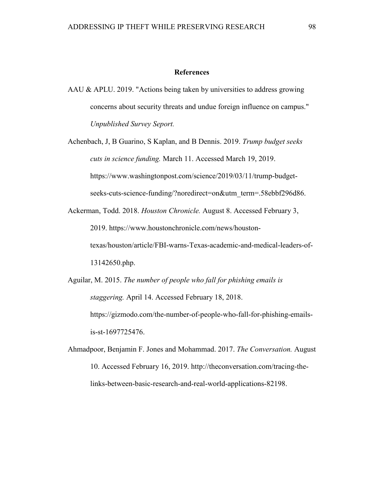### **References**

AAU & APLU. 2019. "Actions being taken by universities to address growing concerns about security threats and undue foreign influence on campus." *Unpublished Survey Seport.*

Achenbach, J, B Guarino, S Kaplan, and B Dennis. 2019. *Trump budget seeks cuts in science funding.* March 11. Accessed March 19, 2019. https://www.washingtonpost.com/science/2019/03/11/trump-budgetseeks-cuts-science-funding/?noredirect=on&utm\_term=.58ebbf296d86.

Ackerman, Todd. 2018. *Houston Chronicle.* August 8. Accessed February 3, 2019. https://www.houstonchronicle.com/news/houstontexas/houston/article/FBI-warns-Texas-academic-and-medical-leaders-of-13142650.php.

Aguilar, M. 2015. *The number of people who fall for phishing emails is staggering.* April 14. Accessed February 18, 2018. https://gizmodo.com/the-number-of-people-who-fall-for-phishing-emailsis-st-1697725476.

Ahmadpoor, Benjamin F. Jones and Mohammad. 2017. *The Conversation.* August 10. Accessed February 16, 2019. http://theconversation.com/tracing-thelinks-between-basic-research-and-real-world-applications-82198.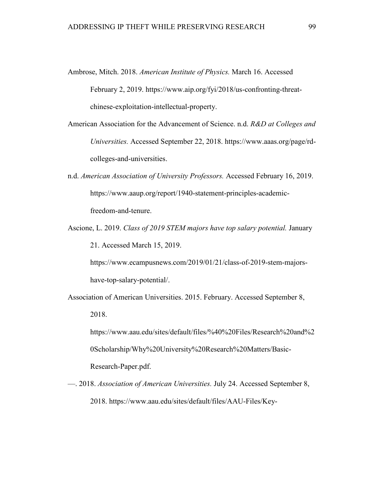- Ambrose, Mitch. 2018. *American Institute of Physics.* March 16. Accessed February 2, 2019. https://www.aip.org/fyi/2018/us-confronting-threatchinese-exploitation-intellectual-property.
- American Association for the Advancement of Science. n.d. *R&D at Colleges and Universities.* Accessed September 22, 2018. https://www.aaas.org/page/rdcolleges-and-universities.
- n.d. *American Association of University Professors.* Accessed February 16, 2019. https://www.aaup.org/report/1940-statement-principles-academicfreedom-and-tenure.
- Ascione, L. 2019. *Class of 2019 STEM majors have top salary potential.* January 21. Accessed March 15, 2019.

https://www.ecampusnews.com/2019/01/21/class-of-2019-stem-majorshave-top-salary-potential/.

Association of American Universities. 2015. February. Accessed September 8,

2018.

https://www.aau.edu/sites/default/files/%40%20Files/Research%20and%2 0Scholarship/Why%20University%20Research%20Matters/Basic-

Research-Paper.pdf.

—. 2018. *Association of American Universities.* July 24. Accessed September 8, 2018. https://www.aau.edu/sites/default/files/AAU-Files/Key-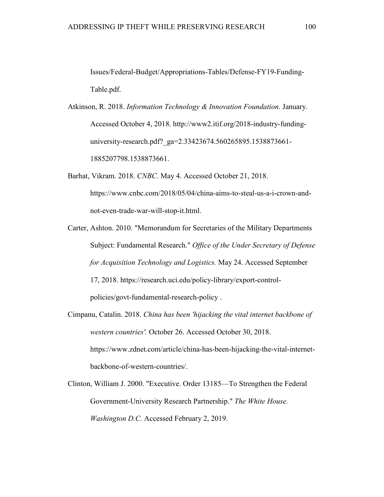Issues/Federal-Budget/Appropriations-Tables/Defense-FY19-Funding-Table.pdf.

- Atkinson, R. 2018. *Information Technology & Innovation Foundation.* January. Accessed October 4, 2018. http://www2.itif.org/2018-industry-fundinguniversity-research.pdf? ga=2.33423674.560265895.1538873661-1885207798.1538873661.
- Barhat, Vikram. 2018. *CNBC.* May 4. Accessed October 21, 2018. https://www.cnbc.com/2018/05/04/china-aims-to-steal-us-a-i-crown-andnot-even-trade-war-will-stop-it.html.
- Carter, Ashton. 2010. "Memorandum for Secretaries of the Military Departments Subject: Fundamental Research." *Office of the Under Secretary of Defense for Acquisition Technology and Logistics.* May 24. Accessed September 17, 2018. https://research.uci.edu/policy-library/export-controlpolicies/govt-fundamental-research-policy .
- Cimpanu, Catalin. 2018. *China has been 'hijacking the vital internet backbone of western countries'.* October 26. Accessed October 30, 2018. https://www.zdnet.com/article/china-has-been-hijacking-the-vital-internetbackbone-of-western-countries/.
- Clinton, William J. 2000. "Executive. Order 13185—To Strengthen the Federal Government-University Research Partnership." *The White House. Washington D.C.* Accessed February 2, 2019.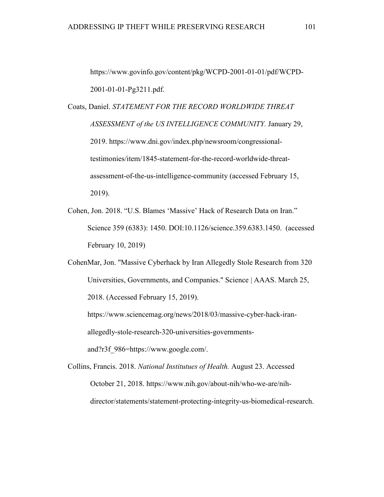https://www.govinfo.gov/content/pkg/WCPD-2001-01-01/pdf/WCPD-2001-01-01-Pg3211.pdf.

Coats, Daniel. *STATEMENT FOR THE RECORD WORLDWIDE THREAT ASSESSMENT of the US INTELLIGENCE COMMUNITY.* January 29, 2019. https://www.dni.gov/index.php/newsroom/congressionaltestimonies/item/1845-statement-for-the-record-worldwide-threatassessment-of-the-us-intelligence-community (accessed February 15, 2019).

Cohen, Jon. 2018. "U.S. Blames 'Massive' Hack of Research Data on Iran." Science 359 (6383): 1450. DOI:10.1126/science.359.6383.1450. (accessed February 10, 2019)

CohenMar, Jon. "Massive Cyberhack by Iran Allegedly Stole Research from 320 Universities, Governments, and Companies." Science | AAAS. March 25, 2018. (Accessed February 15, 2019). https://www.sciencemag.org/news/2018/03/massive-cyber-hack-iran-

allegedly-stole-research-320-universities-governments-

and?r3f\_986=https://www.google.com/.

Collins, Francis. 2018. *National Institutues of Health.* August 23. Accessed October 21, 2018. https://www.nih.gov/about-nih/who-we-are/nihdirector/statements/statement-protecting-integrity-us-biomedical-research.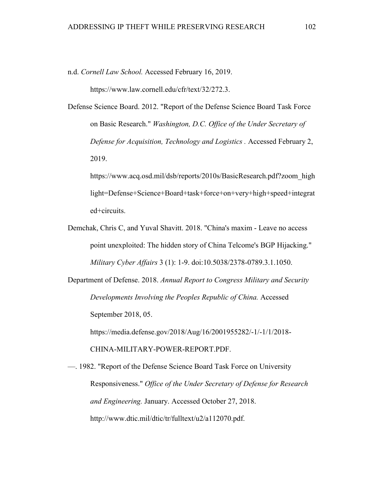n.d. *Cornell Law School.* Accessed February 16, 2019.

https://www.law.cornell.edu/cfr/text/32/272.3.

Defense Science Board. 2012. "Report of the Defense Science Board Task Force on Basic Research." *Washington, D.C. Office of the Under Secretary of Defense for Acquisition, Technology and Logistics .* Accessed February 2, 2019.

https://www.acq.osd.mil/dsb/reports/2010s/BasicResearch.pdf?zoom\_high light=Defense+Science+Board+task+force+on+very+high+speed+integrat ed+circuits.

Demchak, Chris C, and Yuval Shavitt. 2018. "China's maxim - Leave no access point unexploited: The hidden story of China Telcome's BGP Hijacking." *Military Cyber Affairs* 3 (1): 1-9. doi:10.5038/2378-0789.3.1.1050.

Department of Defense. 2018. *Annual Report to Congress Military and Security Developments Involving the Peoples Republic of China.* Accessed September 2018, 05. https://media.defense.gov/2018/Aug/16/2001955282/-1/-1/1/2018-

CHINA-MILITARY-POWER-REPORT.PDF.

—. 1982. "Report of the Defense Science Board Task Force on University Responsiveness." *Office of the Under Secretary of Defense for Research and Engineering.* January. Accessed October 27, 2018. http://www.dtic.mil/dtic/tr/fulltext/u2/a112070.pdf.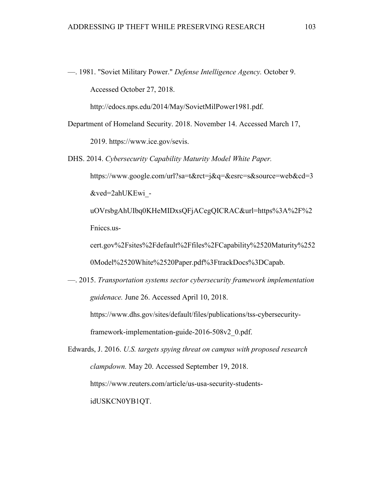—. 1981. "Soviet Military Power." *Defense Intelligence Agency.* October 9. Accessed October 27, 2018.

http://edocs.nps.edu/2014/May/SovietMilPower1981.pdf.

- Department of Homeland Security. 2018. November 14. Accessed March 17, 2019. https://www.ice.gov/sevis.
- DHS. 2014. *Cybersecurity Capability Maturity Model White Paper.* https://www.google.com/url?sa=t&rct=j&q=&esrc=s&source=web&cd=3 &ved=2ahUKEwi\_ uOVrsbgAhUIbq0KHeMIDxsQFjACegQICRAC&url=https%3A%2F%2 Fniccs.uscert.gov%2Fsites%2Fdefault%2Ffiles%2FCapability%2520Maturity%252

0Model%2520White%2520Paper.pdf%3FtrackDocs%3DCapab.

—. 2015. *Transportation systems sector cybersecurity framework implementation guidenace.* June 26. Accessed April 10, 2018.

https://www.dhs.gov/sites/default/files/publications/tss-cybersecurityframework-implementation-guide-2016-508v2\_0.pdf.

Edwards, J. 2016. *U.S. targets spying threat on campus with proposed research clampdown.* May 20. Accessed September 19, 2018. https://www.reuters.com/article/us-usa-security-studentsidUSKCN0YB1QT.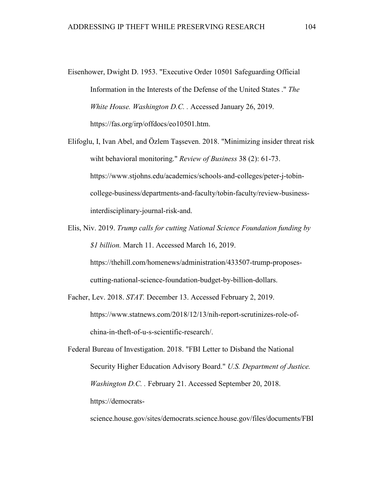- Eisenhower, Dwight D. 1953. "Executive Order 10501 Safeguarding Official Information in the Interests of the Defense of the United States ." *The White House. Washington D.C. .* Accessed January 26, 2019. https://fas.org/irp/offdocs/eo10501.htm.
- Elifoglu, I, Ivan Abel, and Özlem Taşseven. 2018. "Minimizing insider threat risk wiht behavioral monitoring." *Review of Business* 38 (2): 61-73. https://www.stjohns.edu/academics/schools-and-colleges/peter-j-tobincollege-business/departments-and-faculty/tobin-faculty/review-businessinterdisciplinary-journal-risk-and.
- Elis, Niv. 2019. *Trump calls for cutting National Science Foundation funding by \$1 billion.* March 11. Accessed March 16, 2019.

https://thehill.com/homenews/administration/433507-trump-proposescutting-national-science-foundation-budget-by-billion-dollars.

Facher, Lev. 2018. *STAT.* December 13. Accessed February 2, 2019. https://www.statnews.com/2018/12/13/nih-report-scrutinizes-role-ofchina-in-theft-of-u-s-scientific-research/.

Federal Bureau of Investigation. 2018. "FBI Letter to Disband the National Security Higher Education Advisory Board." *U.S. Department of Justice. Washington D.C. .* February 21. Accessed September 20, 2018. https://democrats-

science.house.gov/sites/democrats.science.house.gov/files/documents/FBI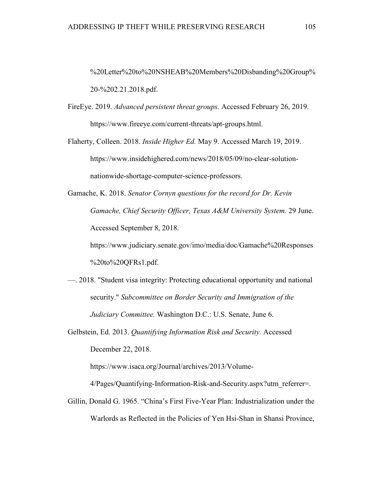%20Letter%20to%20NSHEAB%20Members%20Disbanding%20Group% 20-%202.21.2018.pdf.

- FireEye. 2019. *Advanced persistent threat groups.* Accessed February 26, 2019. https://www.fireeye.com/current-threats/apt-groups.html.
- Flaherty, Colleen. 2018. *Inside Higher Ed.* May 9. Accessed March 19, 2019. https://www.insidehighered.com/news/2018/05/09/no-clear-solutionnationwide-shortage-computer-science-professors.
- Gamache, K. 2018. *Senator Cornyn questions for the record for Dr. Kevin Gamache, Chief Security Officer, Texas A&M University System.* 29 June. Accessed September 8, 2018. https://www.judiciary.senate.gov/imo/media/doc/Gamache%20Responses

%20to%20QFRs1.pdf.

- —. 2018. "Student visa integrity: Protecting educational opportunity and national security." *Subcommittee on Border Security and Immigration of the Judiciary Committee.* Washington D.C.: U.S. Senate, June 6.
- Gelbstein, Ed. 2013. *Quantifying Information Risk and Security.* Accessed December 22, 2018.

https://www.isaca.org/Journal/archives/2013/Volume-

4/Pages/Quantifying-Information-Risk-and-Security.aspx?utm\_referrer=.

Gillin, Donald G. 1965. "China's First Five-Year Plan: Industrialization under the Warlords as Reflected in the Policies of Yen Hsi-Shan in Shansi Province,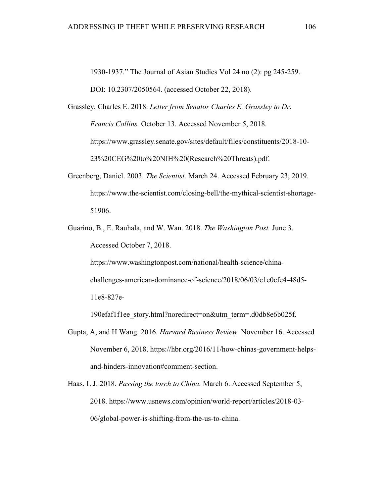1930-1937." The Journal of Asian Studies Vol 24 no (2): pg 245-259.

DOI: 10.2307/2050564. (accessed October 22, 2018).

Grassley, Charles E. 2018. *Letter from Senator Charles E. Grassley to Dr. Francis Collins.* October 13. Accessed November 5, 2018. https://www.grassley.senate.gov/sites/default/files/constituents/2018-10- 23%20CEG%20to%20NIH%20(Research%20Threats).pdf.

- Greenberg, Daniel. 2003. *The Scientist.* March 24. Accessed February 23, 2019. https://www.the-scientist.com/closing-bell/the-mythical-scientist-shortage-51906.
- Guarino, B., E. Rauhala, and W. Wan. 2018. *The Washington Post.* June 3. Accessed October 7, 2018.

https://www.washingtonpost.com/national/health-science/chinachallenges-american-dominance-of-science/2018/06/03/c1e0cfe4-48d5- 11e8-827e-

190efaf1f1ee\_story.html?noredirect=on&utm\_term=.d0db8e6b025f.

- Gupta, A, and H Wang. 2016. *Harvard Business Review.* November 16. Accessed November 6, 2018. https://hbr.org/2016/11/how-chinas-government-helpsand-hinders-innovation#comment-section.
- Haas, L J. 2018. *Passing the torch to China.* March 6. Accessed September 5, 2018. https://www.usnews.com/opinion/world-report/articles/2018-03- 06/global-power-is-shifting-from-the-us-to-china.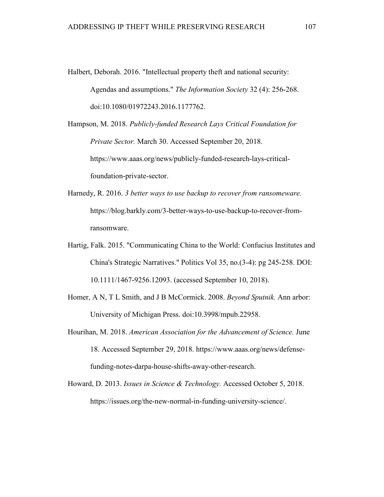Halbert, Deborah. 2016. "Intellectual property theft and national security: Agendas and assumptions." *The Information Society* 32 (4): 256-268. doi:10.1080/01972243.2016.1177762.

Hampson, M. 2018. *Publicly-funded Research Lays Critical Foundation for Private Sector.* March 30. Accessed September 20, 2018. https://www.aaas.org/news/publicly-funded-research-lays-criticalfoundation-private-sector.

- Harnedy, R. 2016. *3 better ways to use backup to recover from ransomeware.* https://blog.barkly.com/3-better-ways-to-use-backup-to-recover-fromransomware.
- Hartig, Falk. 2015. "Communicating China to the World: Confucius Institutes and China's Strategic Narratives." Politics Vol 35, no.(3-4): pg 245-258. DOI: 10.1111/1467-9256.12093. (accessed September 10, 2018).
- Homer, A N, T L Smith, and J B McCormick. 2008. *Beyond Sputnik.* Ann arbor: University of Michigan Press. doi:10.3998/mpub.22958.
- Hourihan, M. 2018. *American Association for the Advancement of Science.* June 18. Accessed September 29, 2018. https://www.aaas.org/news/defensefunding-notes-darpa-house-shifts-away-other-research.
- Howard, D. 2013. *Issues in Science & Technology.* Accessed October 5, 2018. https://issues.org/the-new-normal-in-funding-university-science/.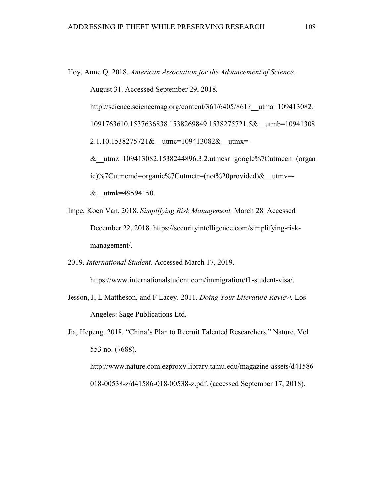Hoy, Anne Q. 2018. *American Association for the Advancement of Science.*

August 31. Accessed September 29, 2018.

http://science.sciencemag.org/content/361/6405/861? utma=109413082.

1091763610.1537636838.1538269849.1538275721.5&\_\_utmb=10941308

2.1.10.1538275721& utmc=109413082& utmx=-

&\_\_utmz=109413082.1538244896.3.2.utmcsr=google%7Cutmccn=(organ ic)%7Cutmcmd=organic%7Cutmctr=(not%20provided)&\_\_utmv=-

&\_\_utmk=49594150.

Impe, Koen Van. 2018. *Simplifying Risk Management.* March 28. Accessed December 22, 2018. https://securityintelligence.com/simplifying-riskmanagement/.

2019. *International Student.* Accessed March 17, 2019.

https://www.internationalstudent.com/immigration/f1-student-visa/.

- Jesson, J, L Mattheson, and F Lacey. 2011. *Doing Your Literature Review.* Los Angeles: Sage Publications Ltd.
- Jia, Hepeng. 2018. "China's Plan to Recruit Talented Researchers." Nature, Vol 553 no. (7688). http://www.nature.com.ezproxy.library.tamu.edu/magazine-assets/d41586- 018-00538-z/d41586-018-00538-z.pdf. (accessed September 17, 2018).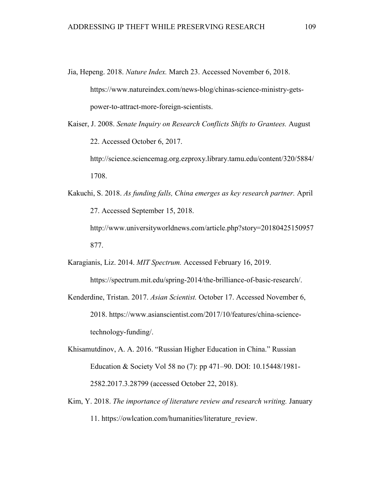- Jia, Hepeng. 2018. *Nature Index.* March 23. Accessed November 6, 2018. https://www.natureindex.com/news-blog/chinas-science-ministry-getspower-to-attract-more-foreign-scientists.
- Kaiser, J. 2008. *Senate Inquiry on Research Conflicts Shifts to Grantees.* August 22. Accessed October 6, 2017.

http://science.sciencemag.org.ezproxy.library.tamu.edu/content/320/5884/ 1708.

Kakuchi, S. 2018. *As funding falls, China emerges as key research partner.* April 27. Accessed September 15, 2018. http://www.universityworldnews.com/article.php?story=20180425150957

877.

Karagianis, Liz. 2014. *MIT Spectrum.* Accessed February 16, 2019.

https://spectrum.mit.edu/spring-2014/the-brilliance-of-basic-research/.

- Kenderdine, Tristan. 2017. *Asian Scientist.* October 17. Accessed November 6, 2018. https://www.asianscientist.com/2017/10/features/china-sciencetechnology-funding/.
- Khisamutdinov, A. A. 2016. "Russian Higher Education in China." Russian Education & Society Vol 58 no (7): pp 471–90. DOI: 10.15448/1981- 2582.2017.3.28799 (accessed October 22, 2018).
- Kim, Y. 2018. *The importance of literature review and research writing.* January 11. https://owlcation.com/humanities/literature\_review.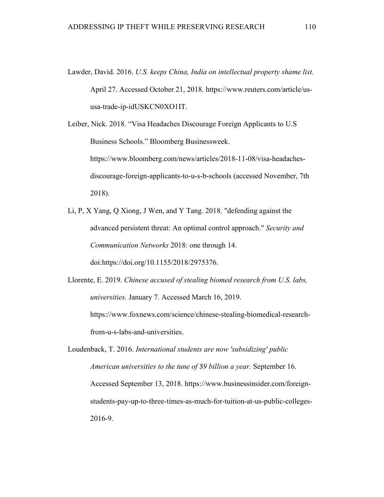- Lawder, David. 2016. *U.S. keeps China, India on intellectual property shame list.* April 27. Accessed October 21, 2018. https://www.reuters.com/article/ususa-trade-ip-idUSKCN0XO1IT.
- Leiber, Nick. 2018. "Visa Headaches Discourage Foreign Applicants to U.S Business Schools." Bloomberg Businessweek. https://www.bloomberg.com/news/articles/2018-11-08/visa-headachesdiscourage-foreign-applicants-to-u-s-b-schools (accessed November, 7th 2018).
- Li, P, X Yang, Q Xiong, J Wen, and Y Tang. 2018. "defending against the advanced persistent threat: An optimal control approach." *Security and Communication Networks* 2018: one through 14. doi:https://doi.org/10.1155/2018/2975376.

Llorente, E. 2019. *Chinese accused of stealing biomed research from U.S. labs, universities.* January 7. Accessed March 16, 2019. https://www.foxnews.com/science/chinese-stealing-biomedical-researchfrom-u-s-labs-and-universities.

Loudenback, T. 2016. *International students are now 'subsidizing' public American universities to the tune of \$9 billion a year.* September 16. Accessed September 13, 2018. https://www.businessinsider.com/foreignstudents-pay-up-to-three-times-as-much-for-tuition-at-us-public-colleges-2016-9.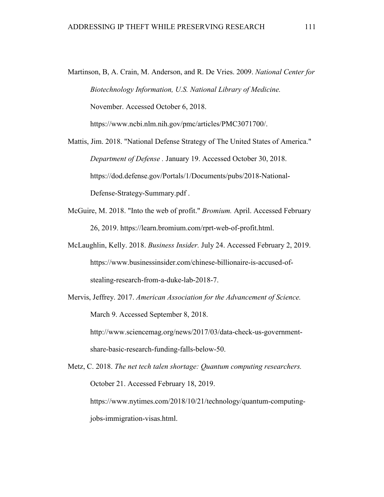- Martinson, B, A. Crain, M. Anderson, and R. De Vries. 2009. *National Center for Biotechnology Information, U.S. National Library of Medicine.* November. Accessed October 6, 2018. https://www.ncbi.nlm.nih.gov/pmc/articles/PMC3071700/.
- Mattis, Jim. 2018. "National Defense Strategy of The United States of America." *Department of Defense .* January 19. Accessed October 30, 2018. https://dod.defense.gov/Portals/1/Documents/pubs/2018-National-Defense-Strategy-Summary.pdf .
- McGuire, M. 2018. "Into the web of profit." *Bromium.* April. Accessed February 26, 2019. https://learn.bromium.com/rprt-web-of-profit.html.
- McLaughlin, Kelly. 2018. *Business Insider.* July 24. Accessed February 2, 2019. https://www.businessinsider.com/chinese-billionaire-is-accused-ofstealing-research-from-a-duke-lab-2018-7.
- Mervis, Jeffrey. 2017. *American Association for the Advancement of Science.* March 9. Accessed September 8, 2018. http://www.sciencemag.org/news/2017/03/data-check-us-government-

share-basic-research-funding-falls-below-50.

Metz, C. 2018. *The net tech talen shortage: Quantum computing researchers.* October 21. Accessed February 18, 2019. https://www.nytimes.com/2018/10/21/technology/quantum-computingjobs-immigration-visas.html.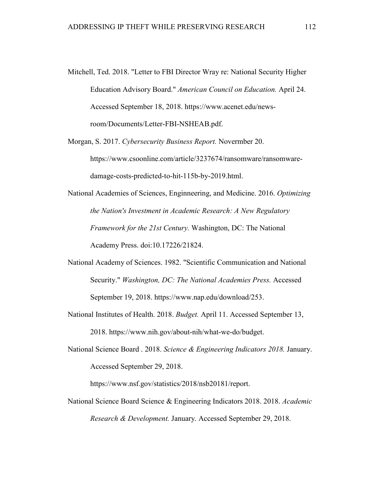- Mitchell, Ted. 2018. "Letter to FBI Director Wray re: National Security Higher Education Advisory Board." *American Council on Education.* April 24. Accessed September 18, 2018. https://www.acenet.edu/newsroom/Documents/Letter-FBI-NSHEAB.pdf.
- Morgan, S. 2017. *Cybersecurity Business Report.* Novermber 20. https://www.csoonline.com/article/3237674/ransomware/ransomwaredamage-costs-predicted-to-hit-115b-by-2019.html.
- National Academies of Sciences, Enginneering, and Medicine. 2016. *Optimizing the Nation's Investment in Academic Research: A New Regulatory Framework for the 21st Century.* Washington, DC: The National Academy Press. doi:10.17226/21824.
- National Academy of Sciences. 1982. "Scientific Communication and National Security." *Washington, DC: The National Academies Press.* Accessed September 19, 2018. https://www.nap.edu/download/253.
- National Institutes of Health. 2018. *Budget.* April 11. Accessed September 13, 2018. https://www.nih.gov/about-nih/what-we-do/budget.
- National Science Board . 2018. *Science & Engineering Indicators 2018.* January. Accessed September 29, 2018.

https://www.nsf.gov/statistics/2018/nsb20181/report.

National Science Board Science & Engineering Indicators 2018. 2018. *Academic Research & Development.* January. Accessed September 29, 2018.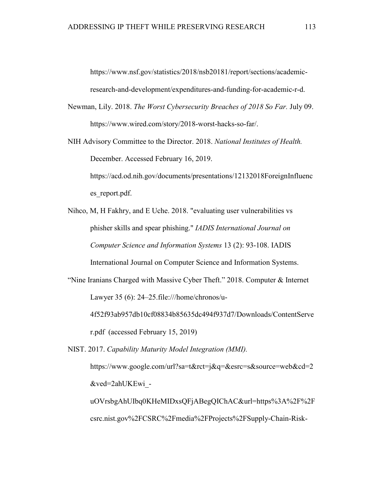https://www.nsf.gov/statistics/2018/nsb20181/report/sections/academicresearch-and-development/expenditures-and-funding-for-academic-r-d.

- Newman, Lily. 2018. *The Worst Cybersecurity Breaches of 2018 So Far.* July 09. https://www.wired.com/story/2018-worst-hacks-so-far/.
- NIH Advisory Committee to the Director. 2018. *National Institutes of Health.* December. Accessed February 16, 2019. https://acd.od.nih.gov/documents/presentations/12132018ForeignInfluenc

es report.pdf.

Nihco, M, H Fakhry, and E Uche. 2018. "evaluating user vulnerabilities vs phisher skills and spear phishing." *IADIS International Journal on Computer Science and Information Systems* 13 (2): 93-108. IADIS International Journal on Computer Science and Information Systems.

"Nine Iranians Charged with Massive Cyber Theft." 2018. Computer & Internet Lawyer 35 (6): 24–25.file:///home/chronos/u-

4f52f93ab957db10cf08834b85635dc494f937d7/Downloads/ContentServe r.pdf (accessed February 15, 2019)

NIST. 2017. *Capability Maturity Model Integration (MMI).* https://www.google.com/url?sa=t&rct=j&q=&esrc=s&source=web&cd=2

&ved=2ahUKEwi\_-

uOVrsbgAhUIbq0KHeMIDxsQFjABegQIChAC&url=https%3A%2F%2F csrc.nist.gov%2FCSRC%2Fmedia%2FProjects%2FSupply-Chain-Risk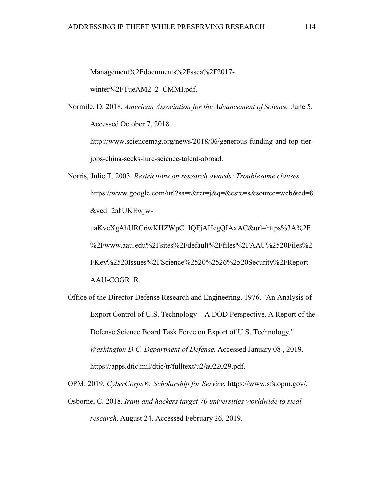Management%2Fdocuments%2Fssca%2F2017-

winter%2FTueAM2\_2\_CMMI.pdf.

Normile, D. 2018. *American Association for the Advancement of Science.* June 5. Accessed October 7, 2018.

http://www.sciencemag.org/news/2018/06/generous-funding-and-top-tierjobs-china-seeks-lure-science-talent-abroad.

Norris, Julie T. 2003. *Restrictions on research awards: Troublesome clauses.* https://www.google.com/url?sa=t&rct=j&q=&esrc=s&source=web&cd=8 &ved=2ahUKEwjwuaKvcXgAhURC6wKHZWpC\_IQFjAHegQIAxAC&url=https%3A%2F %2Fwww.aau.edu%2Fsites%2Fdefault%2Ffiles%2FAAU%2520Files%2

FKey%2520Issues%2FScience%2520%2526%2520Security%2FReport\_ AAU-COGR\_R.

Office of the Director Defense Research and Engineering. 1976. "An Analysis of Export Control of U.S. Technology – A DOD Perspective. A Report of the Defense Science Board Task Force on Export of U.S. Technology." *Washington D.C. Department of Defense.* Accessed January 08 , 2019. https://apps.dtic.mil/dtic/tr/fulltext/u2/a022029.pdf.

OPM. 2019. *CyberCorps®: Scholarship for Service.* https://www.sfs.opm.gov/.

Osborne, C. 2018. *Irani and hackers target 70 universities worldwide to steal research.* August 24. Accessed February 26, 2019.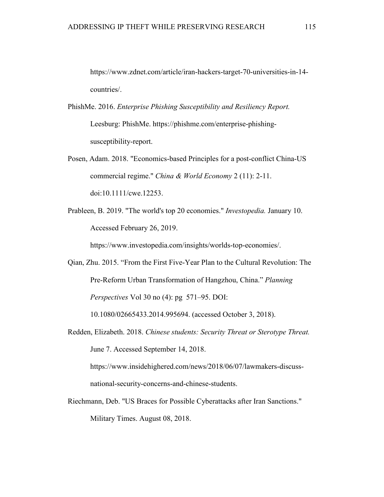https://www.zdnet.com/article/iran-hackers-target-70-universities-in-14 countries/.

- PhishMe. 2016. *Enterprise Phishing Susceptibility and Resiliency Report.* Leesburg: PhishMe. https://phishme.com/enterprise-phishingsusceptibility-report.
- Posen, Adam. 2018. "Economics-based Principles for a post-conflict China-US commercial regime." *China & World Economy* 2 (11): 2-11. doi:10.1111/cwe.12253.
- Prableen, B. 2019. "The world's top 20 economies." *Investopedia.* January 10. Accessed February 26, 2019.

https://www.investopedia.com/insights/worlds-top-economies/.

Qian, Zhu. 2015. "From the First Five-Year Plan to the Cultural Revolution: The Pre-Reform Urban Transformation of Hangzhou, China." *Planning Perspectives* Vol 30 no (4): pg 571–95. DOI:

10.1080/02665433.2014.995694. (accessed October 3, 2018).

- Redden, Elizabeth. 2018. *Chinese students: Security Threat or Sterotype Threat.* June 7. Accessed September 14, 2018. https://www.insidehighered.com/news/2018/06/07/lawmakers-discussnational-security-concerns-and-chinese-students.
- Riechmann, Deb. "US Braces for Possible Cyberattacks after Iran Sanctions." Military Times. August 08, 2018.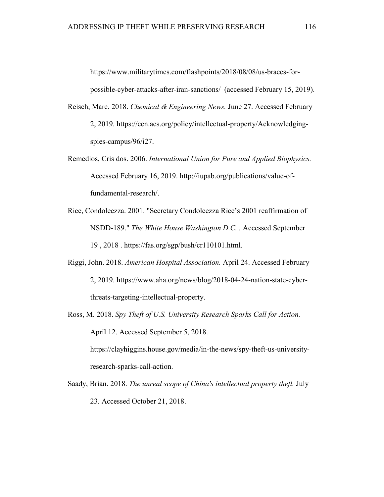https://www.militarytimes.com/flashpoints/2018/08/08/us-braces-forpossible-cyber-attacks-after-iran-sanctions/ (accessed February 15, 2019).

- Reisch, Marc. 2018. *Chemical & Engineering News.* June 27. Accessed February 2, 2019. https://cen.acs.org/policy/intellectual-property/Acknowledgingspies-campus/96/i27.
- Remedios, Cris dos. 2006. *International Union for Pure and Applied Biophysics.* Accessed February 16, 2019. http://iupab.org/publications/value-offundamental-research/.
- Rice, Condoleezza. 2001. "Secretary Condoleezza Rice's 2001 reaffirmation of NSDD-189." *The White House Washington D.C. .* Accessed September 19 , 2018 . https://fas.org/sgp/bush/cr110101.html.
- Riggi, John. 2018. *American Hospital Association.* April 24. Accessed February 2, 2019. https://www.aha.org/news/blog/2018-04-24-nation-state-cyberthreats-targeting-intellectual-property.
- Ross, M. 2018. *Spy Theft of U.S. University Research Sparks Call for Action.* April 12. Accessed September 5, 2018.

https://clayhiggins.house.gov/media/in-the-news/spy-theft-us-universityresearch-sparks-call-action.

Saady, Brian. 2018. *The unreal scope of China's intellectual property theft.* July 23. Accessed October 21, 2018.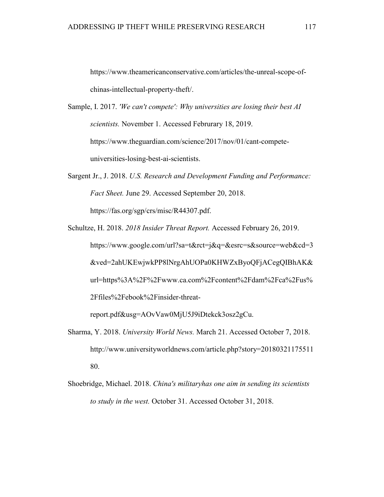https://www.theamericanconservative.com/articles/the-unreal-scope-ofchinas-intellectual-property-theft/.

- Sample, I. 2017. *'We can't compete': Why universities are losing their best AI scientists.* November 1. Accessed Februrary 18, 2019. https://www.theguardian.com/science/2017/nov/01/cant-competeuniversities-losing-best-ai-scientists.
- Sargent Jr., J. 2018. *U.S. Research and Development Funding and Performance: Fact Sheet.* June 29. Accessed September 20, 2018. https://fas.org/sgp/crs/misc/R44307.pdf.
- Schultze, H. 2018. *2018 Insider Threat Report.* Accessed February 26, 2019. https://www.google.com/url?sa=t&rct=j&q=&esrc=s&source=web&cd=3 &ved=2ahUKEwjwkPP8lNrgAhUOPa0KHWZxByoQFjACegQIBhAK& url=https%3A%2F%2Fwww.ca.com%2Fcontent%2Fdam%2Fca%2Fus% 2Ffiles%2Febook%2Finsider-threat-

report.pdf&usg=AOvVaw0MjU5J9iDtekck3osz2gCu.

- Sharma, Y. 2018. *University World News.* March 21. Accessed October 7, 2018. http://www.universityworldnews.com/article.php?story=20180321175511 80.
- Shoebridge, Michael. 2018. *China's militaryhas one aim in sending its scientists to study in the west.* October 31. Accessed October 31, 2018.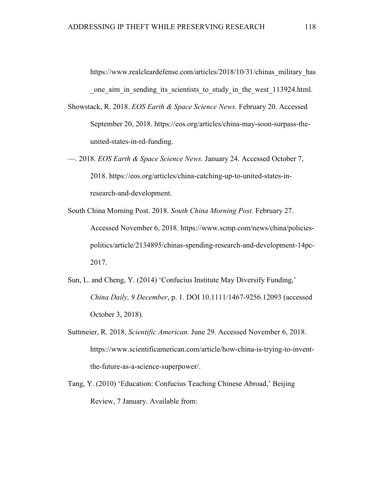https://www.realcleardefense.com/articles/2018/10/31/chinas\_military\_has one aim in sending its scientists to study in the west 113924.html.

- Showstack, R. 2018. *EOS Earth & Space Science News.* February 20. Accessed September 20, 2018. https://eos.org/articles/china-may-soon-surpass-theunited-states-in-rd-funding.
- —. 2018. *EOS Earth & Space Science News.* January 24. Accessed October 7, 2018. https://eos.org/articles/china-catching-up-to-united-states-inresearch-and-development.
- South China Morning Post. 2018. *South China Morning Post.* February 27. Accessed November 6, 2018. https://www.scmp.com/news/china/policiespolitics/article/2134895/chinas-spending-research-and-development-14pc-2017.
- Sun, L. and Cheng, Y. (2014) 'Confucius Institute May Diversify Funding,' *China Daily, 9 December*, p. 1. DOI 10.1111/1467-9256.12093 (accessed October 3, 2018).
- Suttmeier, R. 2018. *Scientific American.* June 29. Accessed November 6, 2018. https://www.scientificamerican.com/article/how-china-is-trying-to-inventthe-future-as-a-science-superpower/.
- Tang, Y. (2010) 'Education: Confucius Teaching Chinese Abroad,' Beijing Review, 7 January. Available from: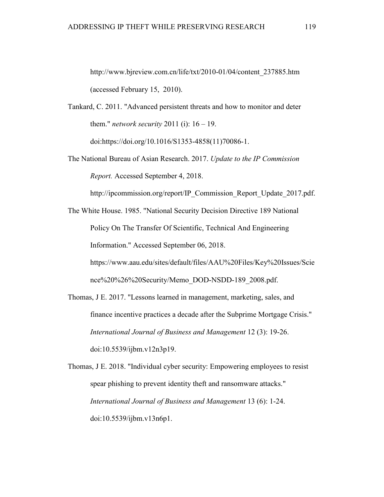http://www.bjreview.com.cn/life/txt/2010-01/04/content\_237885.htm (accessed February 15, 2010).

Tankard, C. 2011. "Advanced persistent threats and how to monitor and deter them." *network security* 2011 (i): 16 – 19.

doi:https://doi.org/10.1016/S1353-4858(11)70086-1.

The National Bureau of Asian Research. 2017. *Update to the IP Commission Report.* Accessed September 4, 2018.

http://ipcommission.org/report/IP\_Commission\_Report\_Update\_2017.pdf.

The White House. 1985. "National Security Decision Directive 189 National Policy On The Transfer Of Scientific, Technical And Engineering Information." Accessed September 06, 2018. https://www.aau.edu/sites/default/files/AAU%20Files/Key%20Issues/Scie nce%20%26%20Security/Memo\_DOD-NSDD-189\_2008.pdf.

Thomas, J E. 2017. "Lessons learned in management, marketing, sales, and finance incentive practices a decade after the Subprime Mortgage Crisis." *International Journal of Business and Management* 12 (3): 19-26. doi:10.5539/ijbm.v12n3p19.

Thomas, J E. 2018. "Individual cyber security: Empowering employees to resist spear phishing to prevent identity theft and ransomware attacks." *International Journal of Business and Management* 13 (6): 1-24. doi:10.5539/ijbm.v13n6p1.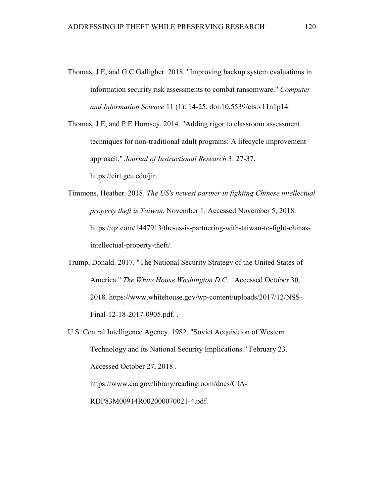Thomas, J E, and G C Galligher. 2018. "Improving backup system evaluations in information security risk assessments to combat ransomware." *Computer and Information Science* 11 (1): 14-25. doi:10.5539/cis.v11n1p14.

Thomas, J E, and P E Hornsey. 2014. "Adding rigor to classroom assessment techniques for non-traditional adult programs: A lifecycle improvement approach." *Journal of Instructional Research* 3: 27-37. https://cirt.gcu.edu/jir.

Timmons, Heather. 2018. *The US's newest partner in fighting Chinese intellectual property theft is Taiwan.* November 1. Accessed November 5, 2018. https://qz.com/1447913/the-us-is-partnering-with-taiwan-to-fight-chinasintellectual-property-theft/.

Trump, Donald. 2017. "The National Security Strategy of the United States of America." *The White House Washington D.C. .* Accessed October 30, 2018. https://www.whitehouse.gov/wp-content/uploads/2017/12/NSS-Final-12-18-2017-0905.pdf. .

U.S. Central Intelligence Agency. 1982. "Soviet Acquisition of Western Technology and its National Security Implications." February 23. Accessed October 27, 2018 . https://www.cia.gov/library/readingroom/docs/CIA-

RDP83M00914R002000070021-4.pdf.